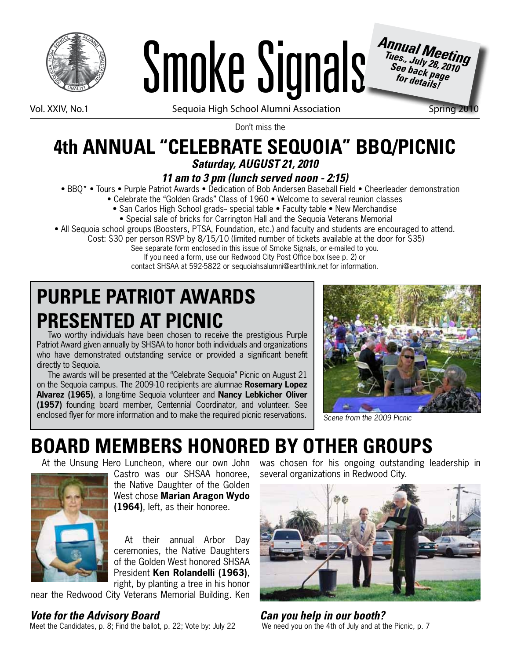



Vol. XXIV, No.1 Sequoia High School Alumni Association Spring 201

*Tues., July 28, 2010 See back page for details!*

Don't miss the

### **4th ANNUAL "CELEBRATE SEQUOIA" BBQ/PICNIC** *Saturday, AUGUST 21, 2010*

#### *11 am to 3 pm (lunch served noon - 2:15)*

- BBQ\* Tours Purple Patriot Awards Dedication of Bob Andersen Baseball Field Cheerleader demonstration
	- Celebrate the "Golden Grads" Class of 1960 Welcome to several reunion classes
		- San Carlos High School grads-- special table Faculty table New Merchandise
		- Special sale of bricks for Carrington Hall and the Sequoia Veterans Memorial
- All Sequoia school groups (Boosters, PTSA, Foundation, etc.) and faculty and students are encouraged to attend.
	- Cost: \$30 per person RSVP by 8/15/10 (limited number of tickets available at the door for \$35)
		- See separate form enclosed in this issue of Smoke Signals, or e-mailed to you.
			- If you need a form, use our Redwood City Post Office box (see p. 2) or

#### contact SHSAA at 592-5822 or sequoiahsalumni@earthlink.net for information.

# **PURPLE PATRIOT AWARDS PRESENTED AT PICNIC**

Two worthy individuals have been chosen to receive the prestigious Purple Patriot Award given annually by SHSAA to honor both individuals and organizations who have demonstrated outstanding service or provided a significant benefit directly to Sequoia.

The awards will be presented at the "Celebrate Sequoia" Picnic on August 21 on the Sequoia campus. The 2009-10 recipients are alumnae **Rosemary Lopez Alvarez (1965)**, a long-time Sequoia volunteer and **Nancy Lebkicher Oliver (1957)** founding board member, Centennial Coordinator, and volunteer. See enclosed flyer for more information and to make the required picnic reservations.



*Scene from the 2009 Picnic*

# **BOARD MEMBERS HONORED BY OTHER GROUPS**

At the Unsung Hero Luncheon, where our own John



Castro was our SHSAA honoree, the Native Daughter of the Golden West chose **Marian Aragon Wydo (1964)**, left, as their honoree.

At their annual Arbor Day ceremonies, the Native Daughters of the Golden West honored SHSAA President **Ken Rolandelli (1963)**, right, by planting a tree in his honor

near the Redwood City Veterans Memorial Building. Ken

was chosen for his ongoing outstanding leadership in several organizations in Redwood City.



*Can you help in our booth?* We need you on the 4th of July and at the Picnic, p. 7

*Vote for the Advisory Board*

Meet the Candidates, p. 8; Find the ballot, p. 22; Vote by: July 22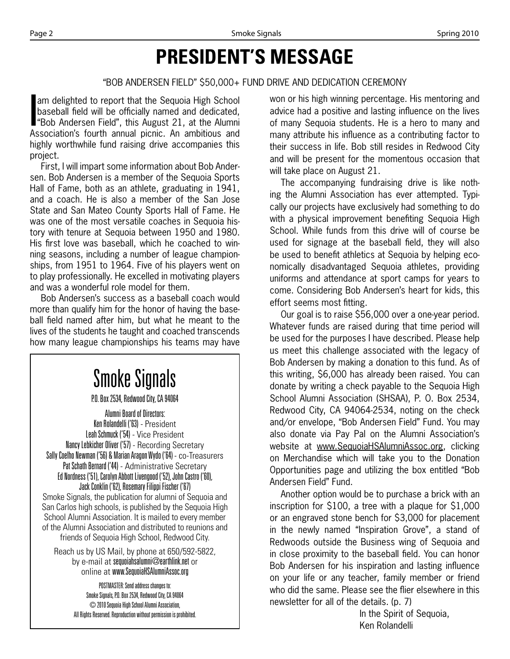# **PRESIDENT'S MESSAGE**

#### "BOB ANDERSEN FIELD" \$50,000+ FUND DRIVE AND DEDICATION CEREMONY

am delighted to report that the Sequoia High School baseball field will be officially named and dedicated, "Bob Andersen Field", this August 21, at the Alumni Association's fourth annual picnic. An ambitious and highly worthwhile fund raising drive accompanies this project.

First, I will impart some information about Bob Andersen. Bob Andersen is a member of the Sequoia Sports Hall of Fame, both as an athlete, graduating in 1941, and a coach. He is also a member of the San Jose State and San Mateo County Sports Hall of Fame. He was one of the most versatile coaches in Sequoia history with tenure at Sequoia between 1950 and 1980. His first love was baseball, which he coached to winning seasons, including a number of league championships, from 1951 to 1964. Five of his players went on to play professionally. He excelled in motivating players and was a wonderful role model for them.

Bob Andersen's success as a baseball coach would more than qualify him for the honor of having the baseball field named after him, but what he meant to the lives of the students he taught and coached transcends how many league championships his teams may have

#### Smoke Signals P.O. Box 2534, Redwood City, CA 94064 Alumni Board of Directors: Ken Rolandelli ('63) - President Leah Schmuck ('54) - Vice President Nancy Lebkicher Oliver ('57) - Recording Secretary Sally Coelho Newman ('56) & Marian Aragon Wydo ('64) - co-Treasurers Pat Schath Bernard ('44) - Administrative Secretary Ed Nordness ('51), Carolyn Abbott Livengood ('52), John Castro ('60), Jack Conklin ('62), Rosemary Filippi Fischer ('67) Smoke Signals, the publication for alumni of Sequoia and San Carlos high schools, is published by the Sequoia High School Alumni Association. It is mailed to every member of the Alumni Association and distributed to reunions and friends of Sequoia High School, Redwood City. Reach us by US Mail, by phone at 650/592-5822,

by e-mail at sequoiahsalumni@earthlink.net or online at www.SequoiaHSAlumniAssoc.org

POSTMASTER: Send address changes to: Smoke Signals, P.O. Box 2534, Redwood City, CA 94064 © 2010 Sequoia High School Alumni Association, All Rights Reserved. Reproduction without permission is prohibited. won or his high winning percentage. His mentoring and advice had a positive and lasting influence on the lives of many Sequoia students. He is a hero to many and many attribute his influence as a contributing factor to their success in life. Bob still resides in Redwood City and will be present for the momentous occasion that will take place on August 21.

The accompanying fundraising drive is like nothing the Alumni Association has ever attempted. Typically our projects have exclusively had something to do with a physical improvement benefiting Sequoia High School. While funds from this drive will of course be used for signage at the baseball field, they will also be used to benefit athletics at Sequoia by helping economically disadvantaged Sequoia athletes, providing uniforms and attendance at sport camps for years to come. Considering Bob Andersen's heart for kids, this effort seems most fitting.

Our goal is to raise \$56,000 over a one-year period. Whatever funds are raised during that time period will be used for the purposes I have described. Please help us meet this challenge associated with the legacy of Bob Andersen by making a donation to this fund. As of this writing, \$6,000 has already been raised. You can donate by writing a check payable to the Sequoia High School Alumni Association (SHSAA), P. O. Box 2534, Redwood City, CA 94064-2534, noting on the check and/or envelope, "Bob Andersen Field" Fund. You may also donate via Pay Pal on the Alumni Association's website at www.SequoiaHSAlumniAssoc.org, clicking on Merchandise which will take you to the Donation Opportunities page and utilizing the box entitled "Bob Andersen Field" Fund.

Another option would be to purchase a brick with an inscription for \$100, a tree with a plaque for \$1,000 or an engraved stone bench for \$3,000 for placement in the newly named "Inspiration Grove", a stand of Redwoods outside the Business wing of Sequoia and in close proximity to the baseball field. You can honor Bob Andersen for his inspiration and lasting influence on your life or any teacher, family member or friend who did the same. Please see the flier elsewhere in this newsletter for all of the details. (p. 7)

> In the Spirit of Sequoia, Ken Rolandelli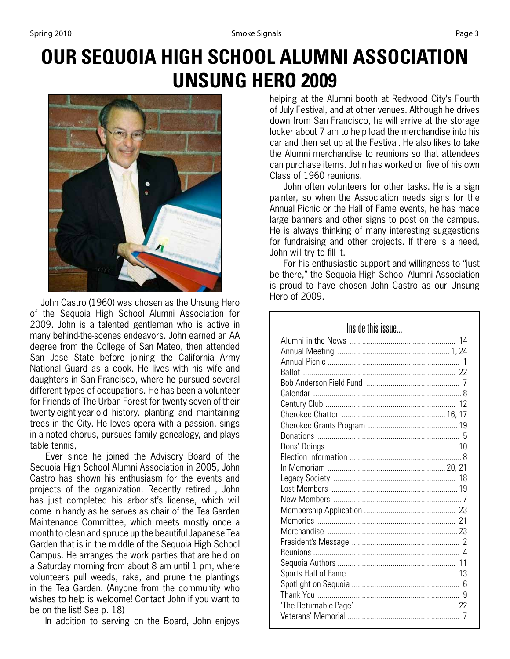# **OUR SEQUOIA HIGH SCHOOL ALUMNI ASSOCIATION UNSUNG HERO 2009**



John Castro (1960) was chosen as the Unsung Hero of the Sequoia High School Alumni Association for 2009. John is a talented gentleman who is active in many behind-the-scenes endeavors. John earned an AA degree from the College of San Mateo, then attended San Jose State before joining the California Army National Guard as a cook. He lives with his wife and daughters in San Francisco, where he pursued several different types of occupations. He has been a volunteer for Friends of The Urban Forest for twenty-seven of their twenty-eight-year-old history, planting and maintaining trees in the City. He loves opera with a passion, sings in a noted chorus, pursues family genealogy, and plays table tennis,

 Ever since he joined the Advisory Board of the Sequoia High School Alumni Association in 2005, John Castro has shown his enthusiasm for the events and projects of the organization. Recently retired , John has just completed his arborist's license, which will come in handy as he serves as chair of the Tea Garden Maintenance Committee, which meets mostly once a month to clean and spruce up the beautiful Japanese Tea Garden that is in the middle of the Sequoia High School Campus. He arranges the work parties that are held on a Saturday morning from about 8 am until 1 pm, where volunteers pull weeds, rake, and prune the plantings in the Tea Garden. (Anyone from the community who wishes to help is welcome! Contact John if you want to be on the list! See p. 18)

In addition to serving on the Board, John enjoys

helping at the Alumni booth at Redwood City's Fourth of July Festival, and at other venues. Although he drives down from San Francisco, he will arrive at the storage locker about 7 am to help load the merchandise into his car and then set up at the Festival. He also likes to take the Alumni merchandise to reunions so that attendees can purchase items. John has worked on five of his own Class of 1960 reunions.

 John often volunteers for other tasks. He is a sign painter, so when the Association needs signs for the Annual Picnic or the Hall of Fame events, he has made large banners and other signs to post on the campus. He is always thinking of many interesting suggestions for fundraising and other projects. If there is a need, John will try to fill it.

 For his enthusiastic support and willingness to "just be there," the Sequoia High School Alumni Association is proud to have chosen John Castro as our Unsung Hero of 2009.

| Inside this issue |
|-------------------|
|                   |
|                   |
|                   |
|                   |
|                   |
|                   |
|                   |
|                   |
|                   |
|                   |
|                   |
|                   |
|                   |
|                   |
|                   |
|                   |
|                   |
|                   |
|                   |
|                   |
|                   |
|                   |
|                   |
|                   |
|                   |
|                   |
|                   |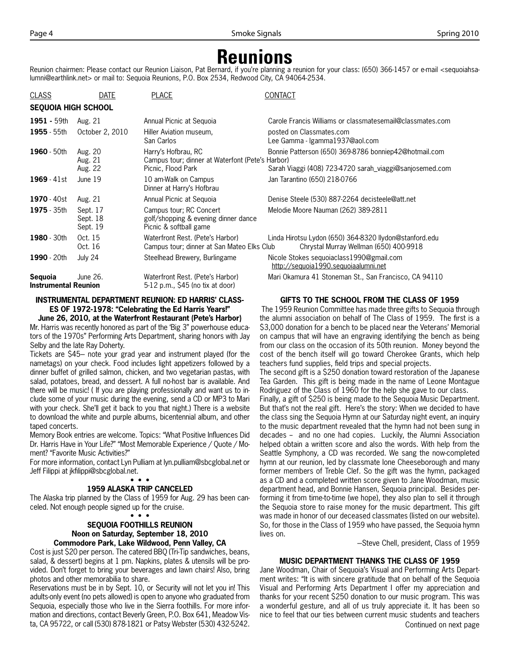### **Reunions**

Reunion chairmen: Please contact our Reunion Liaison, Pat Bernard, if you're planning a reunion for your class: (650) 366-1457 or e-mail <sequoiahsalumni@earthlink.net> or mail to: Sequoia Reunions, P.O. Box 2534, Redwood City, CA 94064-2534.

| <b>CLASS</b>                           | DATE                             | <b>PLACE</b>                                                                                  | CONTACT                                                                                                          |
|----------------------------------------|----------------------------------|-----------------------------------------------------------------------------------------------|------------------------------------------------------------------------------------------------------------------|
| <b>SEQUOIA HIGH SCHOOL</b>             |                                  |                                                                                               |                                                                                                                  |
| 1951 - 59th                            | Aug. 21                          | Annual Picnic at Seguoia                                                                      | Carole Francis Williams or classmatesemail@classmates.com                                                        |
| 1955 - 55th                            | October 2, 2010                  | Hiller Aviation museum.<br>San Carlos                                                         | posted on Classmates.com<br>Lee Gamma - Igamma1937@aol.com                                                       |
| 1960 - 50th                            | Aug. 20<br>Aug. 21<br>Aug. 22    | Harry's Hofbrau, RC<br>Campus tour; dinner at Waterfont (Pete's Harbor)<br>Picnic, Flood Park | Bonnie Patterson (650) 369-8786 bonniep42@hotmail.com<br>Sarah Viaggi (408) 723-4720 sarah_viaggi@sanjosemed.com |
| $1969 - 41st$                          | June 19                          | 10 am-Walk on Campus<br>Dinner at Harry's Hofbrau                                             | Jan Tarantino (650) 218-0766                                                                                     |
| <b>1970</b> - 40st                     | Aug. 21                          | Annual Picnic at Seguoia                                                                      | Denise Steele (530) 887-2264 decisteele@att.net                                                                  |
| 1975 - 35th                            | Sept. 17<br>Sept. 18<br>Sept. 19 | Campus tour; RC Concert<br>golf/shopping & evening dinner dance<br>Picnic & softball game     | Melodie Moore Nauman (262) 389-2811                                                                              |
| 1980 - 30th                            | Oct. 15<br>Oct. 16               | Waterfront Rest. (Pete's Harbor)<br>Campus tour; dinner at San Mateo Elks Club                | Linda Hirotsu Lydon (650) 364-8320 llydon@stanford.edu<br>Chrystal Murray Wellman (650) 400-9918                 |
| 1990 - 20th                            | July 24                          | Steelhead Brewery, Burlingame                                                                 | Nicole Stokes sequoiaclass1990@gmail.com<br>http://sequoia1990.sequoiaalumni.net                                 |
| Seguoia<br><b>Instrumental Reunion</b> | June 26.                         | Waterfront Rest. (Pete's Harbor)<br>5-12 p.m., \$45 (no tix at door)                          | Mari Okamura 41 Stoneman St., San Francisco, CA 94110                                                            |

#### **INSTRUMENTAL DEPARTMENT REUNION: ED HARRIS' CLASS-ES OF 1972-1978: "Celebrating the Ed Harris Years!"**

**June 26, 2010, at the Waterfront Restaurant (Pete's Harbor)** Mr. Harris was recently honored as part of the 'Big 3" powerhouse educators of the 1970s" Performing Arts Department, sharing honors with Jay Selby and the late Ray Doherty.

Tickets are \$45- note your grad year and instrument played (for the nametags) on your check. Food includes light appetizers followed by a dinner buffet of grilled salmon, chicken, and two vegetarian pastas, with salad, potatoes, bread, and dessert. A full no-host bar is available. And there will be music! ( If you are playing professionally and want us to include some of your music during the evening, send a CD or MP3 to Mari with your check. She'll get it back to you that night.) There is a website to download the white and purple albums, bicentennial album, and other taped concerts.

Memory Book entries are welcome. Topics: "What Positive Influences Did Dr. Harris Have in Your Life?" "Most Memorable Experience / Quote / Moment? "Favorite Music Activities?"

For more information, contact Lyn Pulliam at lyn.pulliam@sbcglobal.net or Jeff Filippi at jkfilippi@sbcglobal.net.

#### • • •

#### **1959 ALASKA TRIP CANCELED**

The Alaska trip planned by the Class of 1959 for Aug. 29 has been canceled. Not enough people signed up for the cruise.

#### • • • **SEQUOIA FOOTHILLS REUNION Noon on Saturday, September 18, 2010 Commodore Park, Lake Wildwood, Penn Valley, CA**

Cost is just \$20 per person. The catered BBQ (Tri-Tip sandwiches, beans, salad, & dessert) begins at 1 pm. Napkins, plates & utensils will be provided. Don't forget to bring your beverages and lawn chairs! Also, bring photos and other memorabilia to share.

Reservations must be in by Sept. 10, or Security will not let you in! This adults-only event (no pets allowed) is open to anyone who graduated from Sequoia, especially those who live in the Sierra foothills. For more information and directions, contact Beverly Green, P.O. Box 641, Meadow Vista, CA 95722, or call (530) 878-1821 or Patsy Webster (530) 432-5242.

#### **GIFTS TO THE SCHOOL FROM THE CLASS OF 1959**

 The 1959 Reunion Committee has made three gifts to Sequoia through the alumni association on behalf of The Class of 1959. The first is a \$3,000 donation for a bench to be placed near the Veterans' Memorial on campus that will have an engraving identifying the bench as being from our class on the occasion of its 50th reunion. Money beyond the cost of the bench itself will go toward Cherokee Grants, which help teachers fund supplies, field trips and special projects.

The second gift is a \$250 donation toward restoration of the Japanese Tea Garden. This gift is being made in the name of Leone Montague Rodriguez of the Class of 1960 for the help she gave to our class. Finally, a gift of \$250 is being made to the Sequoia Music Department. But that's not the real gift. Here's the story: When we decided to have

the class sing the Sequoia Hymn at our Saturday night event, an inquiry to the music department revealed that the hymn had not been sung in decades - and no one had copies. Luckily, the Alumni Association helped obtain a written score and also the words. With help from the Seattle Symphony, a CD was recorded. We sang the now-completed hymn at our reunion, led by classmate Ione Cheeseborough and many former members of Treble Clef. So the gift was the hymn, packaged as a CD and a completed written score given to Jane Woodman, music department head, and Bonnie Hansen, Sequoia principal. Besides performing it from time-to-time (we hope), they also plan to sell it through the Sequoia store to raise money for the music department. This gift was made in honor of our deceased classmates (listed on our website). So, for those in the Class of 1959 who have passed, the Sequoia hymn lives on.

-Steve Chell, president, Class of 1959

#### **MUSIC DEPARTMENT THANKS THE CLASS OF 1959**

Jane Woodman, Chair of Sequoia's Visual and Performing Arts Department writes: "It is with sincere gratitude that on behalf of the Sequoia Visual and Performing Arts Department I offer my appreciation and thanks for your recent \$250 donation to our music program. This was a wonderful gesture, and all of us truly appreciate it. It has been so nice to feel that our ties between current music students and teachers Continued on next page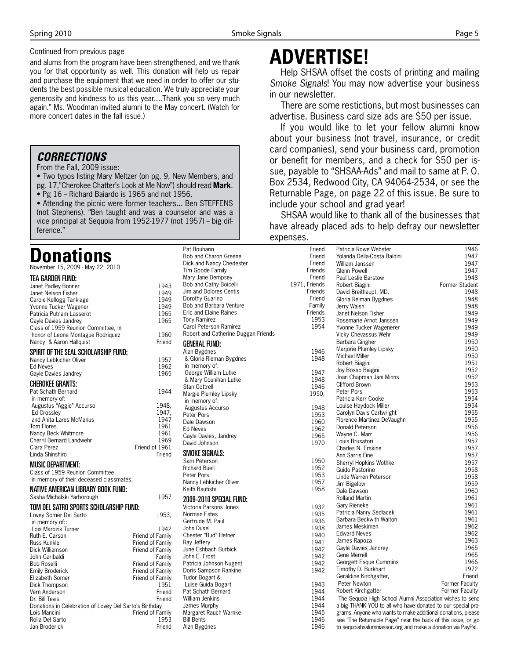#### Continued from previous page

and alums from the program have been strengthened, and we thank you for that opportunity as well. This donation will help us repair and purchase the equipment that we need in order to offer our students the best possible musical education. We truly appreciate your generosity and kindness to us this year....Thank you so very much again." Ms. Woodman invited alumni to the May concert. (Watch for more concert dates in the fall issue.)

#### *CORRECTIONS*

From the Fall, 2009 issue:

• Two typos listing Mary Meltzer (on pg. 9, New Members, and pg. 17,"Cherokee Chatter's Look at Me Now") should read **Mark**.

• Pg 16 - Richard Baiardo is 1965 and not 1956.

• Attending the picnic were former teachers... Ben STEFFENS (not Stephens). "Ben taught and was a counselor and was a vice principal at Sequoia from 1952-1977 (not 1957) - big difference."

## **ponations**

TEA GARDEN FUND:

November 15, 2009 - May 22, 2010

| Janet Padley Bonner                                    | 1943                                 |
|--------------------------------------------------------|--------------------------------------|
| Janet Nelson Fisher                                    | 1949                                 |
| Carole Kellogg Tanklage                                | 1949                                 |
| Yvonne Tucker Wagener                                  | 1949                                 |
| Patricia Putnam Lasserot                               | 1965                                 |
| Gayle Davies Jandrey                                   | 1965                                 |
| Class of 1959 Reunion Committee, in                    |                                      |
| honor of Leone Montague Rodriguez                      | 1960                                 |
| Nancy & Aaron Hallquist                                | Friend                               |
| SPIRIT OF THE SEAL SCHOLARSHIP FUND:                   |                                      |
| Nancy Lebkicher Oliver                                 | 1957                                 |
| <b>Ed Neves</b>                                        | 1962                                 |
| Gayle Davies Jandrey                                   | 1965                                 |
| <b>CHEROKEE GRANTS:</b>                                |                                      |
| Pat Schath Bernard                                     | 1944                                 |
| in memory of:                                          |                                      |
| Augustus "Aggie" Accurso                               | 1948.                                |
| <b>Ed Crossley</b>                                     | 1947.                                |
| and Anita Lares McManus                                | 1947                                 |
| <b>Tom Flores</b>                                      | 1961                                 |
| Nancy Beck Whitmore                                    | 1961                                 |
| <b>Cherril Bernard Landwehr</b>                        | 1969                                 |
| Clara Perez                                            | Friend of 1961                       |
| Linda Shinshiro                                        | Friend                               |
| <b>MUSIC DEPARTMENT:</b>                               |                                      |
| Class of 1959 Reunion Committee                        |                                      |
| in memory of their deceased classmates.                |                                      |
|                                                        |                                      |
| NATIVE AMERICAN LIBRARY BOOK FUND:                     |                                      |
| Sasha Michalski Yarborough                             | 1957                                 |
| TOM DEL SATRO SPORTS SCHOLARSHIP FUND:                 |                                      |
| Lovey Somer Del Sarto                                  | 1953,                                |
| in memory of::                                         |                                      |
| Lois Marozik Turner                                    | 1942                                 |
| Ruth E. Carson                                         | Friend of Family                     |
| Russ Kunkle<br>Dick Williamson                         | Friend of Family<br>Friend of Family |
| John Garibaldi                                         | Familv                               |
| Bob Roselli                                            | Friend of Family                     |
| <b>Emily Broderick</b>                                 | Friend of Family                     |
| Elizabeth Somer                                        | Friend of Family                     |
| Dick Thompson                                          |                                      |
|                                                        |                                      |
| Vern Anderson                                          | 1951<br>Friend                       |
| Dr. Bill Tevis                                         | Friend                               |
| Donations in Celebration of Lovey Del Sarto's Birthday |                                      |
| Lois Mancini                                           | Friend of Family                     |
| Rolla Del Sarto                                        | 1953                                 |

## **ADVERTISE!**

Help SHSAA offset the costs of printing and mailing *Smoke Signals*! You may now advertise your business in our newsletter.

There are some restictions, but most businesses can advertise. Business card size ads are \$50 per issue.

If you would like to let your fellow alumni know about your business (not travel, insurance, or credit card companies), send your business card, promotion or benefit for members, and a check for \$50 per issue, payable to "SHSAA-Ads" and mail to same at P. O. Box 2534, Redwood City, CA 94064-2534, or see the Returnable Page, on page 22 of this issue. Be sure to include your school and grad year!

SHSAA would like to thank all of the businesses that have already placed ads to help defray our newsletter expenses.

| Pat Bouharin                        | Friend        | Patricia Rowe Webster                                        | 1946           |
|-------------------------------------|---------------|--------------------------------------------------------------|----------------|
| Bob and Charon Greene               | Friend        | Yolanda Della-Costa Baldini                                  | 1947           |
| Dick and Nancy Chedester            | Friend        | William Janssen                                              | 1947           |
| Tim Goode Family                    | Friends       | Glenn Powell                                                 | 1947           |
| Mary Jane Dempsey                   | Friend        | Paul Leslie Barstow                                          | 1948           |
| Bob and Cathy Boicelli              | 1971, Friends | Robert Biagini                                               | Former Student |
| Jim and Dolores Centis              | Friends       | David Breithaupt, MD.                                        | 1948           |
| Dorothy Guarino                     | Friend        | Gloria Reiman Bygdnes                                        | 1948           |
| Bob and Barbara Venture             | Family        | Jerry Walsh                                                  | 1948           |
| <b>Eric and Elaine Raines</b>       | Friends       | Janet Nelson Fisher                                          | 1949           |
| <b>Tony Ramirez</b>                 | 1953          | Rosemarie Arnot Janssen                                      | 1949           |
| Carol Peterson Ramirez              | 1954          | Yvonne Tucker Wagenerer                                      | 1949           |
| Robert and Catherine Duggan Friends |               | Vicky Chevassus Wehr                                         | 1949           |
| <b>GENERAL FUND:</b>                |               | Barbara Gingher                                              | 1950           |
| Alan Bygdnes                        | 1946          | Marjorie Plumley Lipsky                                      | 1950           |
| & Gloria Rieman Bygdnes             | 1948          | Michael Miller                                               | 1950           |
| in memory of:                       |               | Robert Biagini                                               | 1951           |
| George William Lutke                | 1947          | Joy Bosso Biagini                                            | 1952           |
| & Mary Counihan Lutke               | 1948          | Joan Chapman Jani Minns                                      | 1952           |
| <b>Stan Cottrell</b>                | 1946          | <b>Clifford Brown</b>                                        | 1953           |
| Margie Plumley Lipsky               | 1950,         | Peter Pors                                                   | 1953           |
| in memory of:                       |               | Patricia Kerr Cooke                                          | 1954           |
|                                     | 1948          | Louise Haydock Miller                                        | 1954           |
| Augustus Accurso<br>Peter Pors      | 1953          | Carolyn Davis Cartwright                                     | 1955           |
| Dale Dawson                         | 1960          | Florence Martinez DeVaughn                                   | 1955           |
| <b>Ed Neves</b>                     | 1962          | Donald Peterson                                              | 1956           |
|                                     | 1965          | Wayne C. Marr                                                | 1956           |
| Gayle Davies, Jandrey               | 1970          | Louis Brusatori                                              | 1957           |
| David Johnson                       |               | Charles N. Erskine                                           | 1957           |
| SMOKE SIGNALS:                      |               | Ann Sarris Fine                                              | 1957           |
| Sam Peterson                        | 1950          | Sherryl Hopkins Wothke                                       | 1957           |
| <b>Richard Buell</b>                | 1952          | Guido Pastorino                                              | 1958           |
| Peter Pors                          | 1953          | Linda Warren Peterson                                        | 1958           |
| Nancy Lebkicher Oliver              | 1957          | Jim Bigelow                                                  | 1959           |
| Keith Bautista                      | 1958          | Dale Dawson                                                  | 1960           |
| 2009-2010 SPECIAL FUND:             |               | <b>Rolland Martin</b>                                        | 1961           |
|                                     |               | Gary Rieneke                                                 | 1961           |
| Victoria Parsons Jones              | 1932          | Patricia Nanry Sedlacek                                      | 1961           |
| Norman Estes                        | 1935          | Barbara Beckwith Walton                                      | 1961           |
| Gertrude M. Paul                    | 1936          | James Meskimen                                               | 1962           |
| John Dusel                          | 1938          | <b>Edward Neves</b>                                          | 1962           |
| Chester "Bud" Hefner                | 1940<br>1941  | James Rapoza                                                 | 1963           |
| Ray Jeffery                         |               | Gayle Davies Jandrey                                         | 1965           |
| June Eshbach Burbick                | 1942          | <b>Gene Merrell</b>                                          | 1965           |
| John E. Frost                       | 1942          | Georgett Esque Cummins                                       | 1966           |
| Patricia Johnson Nugent             | 1942          | Timothy D. Burkhart                                          | 1972           |
| Doris Sampson Rankine               | 1942          | Geraldine Kirchgatter,                                       | Friend         |
| Tudor Bogart &                      |               | Peter Newton                                                 | Former Faculty |
| Luise Guida Bogart                  | 1943          | Robert Kirchgatter                                           | Former Faculty |
| Pat Schath Bernard                  | 1944          |                                                              |                |
| <b>William Jenkins</b>              | 1944          | The Sequoia High School Alumni Association wishes to send    |                |
| James Murphy                        | 1944          | a big THANK YOU to all who have donated to our special pro-  |                |
| Margaret Rauch Warnke               | 1945          | grams. Anyone who wants to make additional donations, please |                |
| <b>Bill Bents</b>                   | 1946          | see "The Returnable Page" near the back of this issue, or go |                |
| Alan Bygdnes                        | 1946          | to sequoiahsalumniassoc.org and make a donation via PayPal.  |                |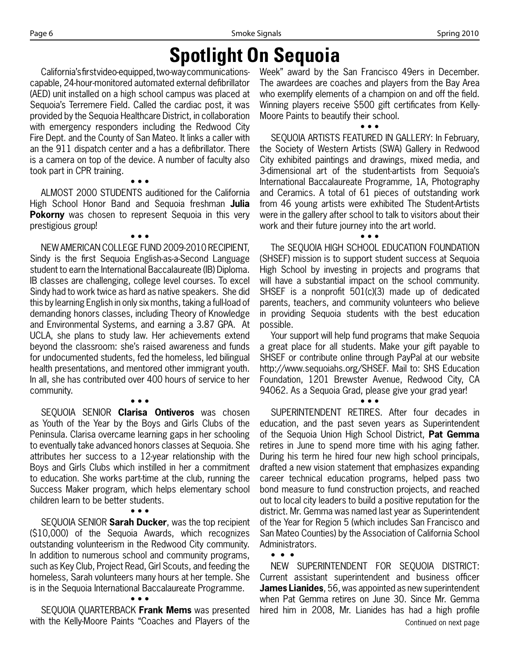# **Spotlight On Sequoia**

California's first video-equipped, two-way communicationscapable, 24-hour-monitored automated external defibrillator (AED) unit installed on a high school campus was placed at Sequoia's Terremere Field. Called the cardiac post, it was provided by the Sequoia Healthcare District, in collaboration with emergency responders including the Redwood City Fire Dept. and the County of San Mateo. It links a caller with an the 911 dispatch center and a has a defibrillator. There is a camera on top of the device. A number of faculty also took part in CPR training.

ALMOST 2000 STUDENTS auditioned for the California High School Honor Band and Sequoia freshman **Julia Pokorny** was chosen to represent Sequoia in this very prestigious group!

• • •

• • •

NEW AMERICAN COLLEGE FUND 2009-2010 RECIPIENT, Sindy is the first Sequoia English-as-a-Second Language student to earn the International Baccalaureate (IB) Diploma. IB classes are challenging, college level courses. To excel Sindy had to work twice as hard as native speakers. She did this by learning English in only six months, taking a full-load of demanding honors classes, including Theory of Knowledge and Environmental Systems, and earning a 3.87 GPA. At UCLA, she plans to study law. Her achievements extend beyond the classroom: she's raised awareness and funds for undocumented students, fed the homeless, led bilingual health presentations, and mentored other immigrant youth. In all, she has contributed over 400 hours of service to her community.

• • • SEQUOIA SENIOR **Clarisa Ontiveros** was chosen as Youth of the Year by the Boys and Girls Clubs of the Peninsula. Clarisa overcame learning gaps in her schooling to eventually take advanced honors classes at Sequoia. She attributes her success to a 12-year relationship with the Boys and Girls Clubs which instilled in her a commitment to education. She works part-time at the club, running the Success Maker program, which helps elementary school children learn to be better students.

SEQUOIA SENIOR **Sarah Ducker**, was the top recipient (\$10,000) of the Sequoia Awards, which recognizes outstanding volunteerism in the Redwood City community. In addition to numerous school and community programs, such as Key Club, Project Read, Girl Scouts, and feeding the homeless, Sarah volunteers many hours at her temple. She is in the Sequoia International Baccalaureate Programme. • • •

• • •

SEQUOIA QUARTERBACK **Frank Mems** was presented with the Kelly-Moore Paints "Coaches and Players of the

Week" award by the San Francisco 49ers in December. The awardees are coaches and players from the Bay Area who exemplify elements of a champion on and off the field. Winning players receive \$500 gift certificates from Kelly-Moore Paints to beautify their school.

• • •

SEQUOIA ARTISTS FEATURED IN GALLERY: In February, the Society of Western Artists (SWA) Gallery in Redwood City exhibited paintings and drawings, mixed media, and 3-dimensional art of the student-artists from Sequoia's International Baccalaureate Programme, 1A, Photography and Ceramics. A total of 61 pieces of outstanding work from 46 young artists were exhibited The Student-Artists were in the gallery after school to talk to visitors about their work and their future journey into the art world.

The SEQUOIA HIGH SCHOOL EDUCATION FOUNDATION (SHSEF) mission is to support student success at Sequoia High School by investing in projects and programs that will have a substantial impact on the school community. SHSEF is a nonprofit 501(c)(3) made up of dedicated parents, teachers, and community volunteers who believe in providing Sequoia students with the best education possible.

• • •

Your support will help fund programs that make Sequoia a great place for all students. Make your gift payable to SHSEF or contribute online through PayPal at our website http://www.sequoiahs.org/SHSEF. Mail to: SHS Education Foundation, 1201 Brewster Avenue, Redwood City, CA 94062. As a Sequoia Grad, please give your grad year!

• • •

SUPERINTENDENT RETIRES. After four decades in education, and the past seven years as Superintendent of the Sequoia Union High School District, **Pat Gemma** retires in June to spend more time with his aging father. During his term he hired four new high school principals, drafted a new vision statement that emphasizes expanding career technical education programs, helped pass two bond measure to fund construction projects, and reached out to local city leaders to build a positive reputation for the district. Mr. Gemma was named last year as Superintendent of the Year for Region 5 (which includes San Francisco and San Mateo Counties) by the Association of California School Administrators. • • •

NEW SUPERINTENDENT FOR SEQUOIA DISTRICT: Current assistant superintendent and business officer **James Lianides**, 56, was appointed as new superintendent when Pat Gemma retires on June 30. Since Mr. Gemma hired him in 2008, Mr. Lianides has had a high profile Continued on next page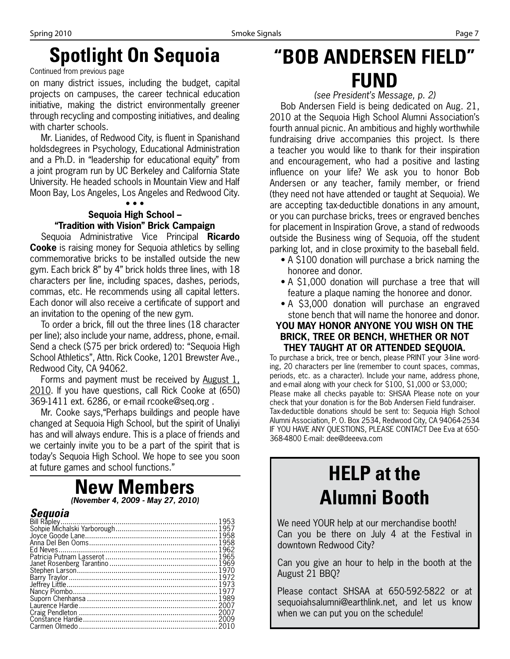# **Spotlight On Sequoia**

Continued from previous page

on many district issues, including the budget, capital projects on campuses, the career technical education initiative, making the district environmentally greener through recycling and composting initiatives, and dealing with charter schools.

Mr. Lianides, of Redwood City, is fluent in Spanishand holdsdegrees in Psychology, Educational Administration and a Ph.D. in "leadership for educational equity" from a joint program run by UC Berkeley and California State University. He headed schools in Mountain View and Half Moon Bay, Los Angeles, Los Angeles and Redwood City.

#### • • •

#### **Sequoia High School – "Tradition with Vision" Brick Campaign**

Sequoia Administrative Vice Principal **Ricardo Cooke** is raising money for Sequoia athletics by selling commemorative bricks to be installed outside the new gym. Each brick 8" by 4" brick holds three lines, with 18 characters per line, including spaces, dashes, periods, commas, etc. He recommends using all capital letters. Each donor will also receive a certificate of support and an invitation to the opening of the new gym.

To order a brick, fill out the three lines (18 character per line); also include your name, address, phone, e-mail. Send a check (\$75 per brick ordered) to: "Sequoia High School Athletics", Attn. Rick Cooke, 1201 Brewster Ave., Redwood City, CA 94062.

Forms and payment must be received by August 1, 2010. If you have questions, call Rick Cooke at (650) 369-1411 ext. 6286, or e-mail rcooke@seq.org .

Mr. Cooke says,"Perhaps buildings and people have changed at Sequoia High School, but the spirit of Unaliyi has and will always endure. This is a place of friends and we certainly invite you to be a part of the spirit that is today's Sequoia High School. We hope to see you soon at future games and school functions."

### **New Members** *(November 4, 2009 - May 27, 2010)*

### *Sequoia*

# **"BOB ANDERSEN FIELD" FUND**

*(see President's Message, p. 2)*

Bob Andersen Field is being dedicated on Aug. 21, 2010 at the Sequoia High School Alumni Association's fourth annual picnic. An ambitious and highly worthwhile fundraising drive accompanies this project. Is there a teacher you would like to thank for their inspiration and encouragement, who had a positive and lasting influence on your life? We ask you to honor Bob Andersen or any teacher, family member, or friend (they need not have attended or taught at Sequoia). We are accepting tax-deductible donations in any amount, or you can purchase bricks, trees or engraved benches for placement in Inspiration Grove, a stand of redwoods outside the Business wing of Sequoia, off the student parking lot, and in close proximity to the baseball field.

- A \$100 donation will purchase a brick naming the honoree and donor.
- A \$1,000 donation will purchase a tree that will feature a plaque naming the honoree and donor.
- A \$3,000 donation will purchase an engraved stone bench that will name the honoree and donor.

#### **YOU MAY HONOR ANYONE YOU WISH ON THE BRICK, TREE OR BENCH, WHETHER OR NOT THEY TAUGHT AT OR ATTENDED SEQUOIA.**

To purchase a brick, tree or bench, please PRINT your 3-line wording, 20 characters per line (remember to count spaces, commas, periods, etc. as a character). Include your name, address phone, and e-mail along with your check for \$100, \$1,000 or \$3,000; Please make all checks payable to: SHSAA Please note on your check that your donation is for the Bob Andersen Field fundraiser. Tax-deductible donations should be sent to: Sequoia High School Alumni Association, P. O. Box 2534, Redwood City, CA 94064-2534 IF YOU HAVE ANY QUESTIONS, PLEASE CONTACT Dee Eva at 650- 368-4800 E-mail: dee@deeeva.com

# **HELP at the Alumni Booth**

We need YOUR help at our merchandise booth! Can you be there on July 4 at the Festival in downtown Redwood City?

Can you give an hour to help in the booth at the August 21 BBQ?

Please contact SHSAA at 650-592-5822 or at sequoiahsalumni@earthlink.net, and let us know when we can put you on the schedule!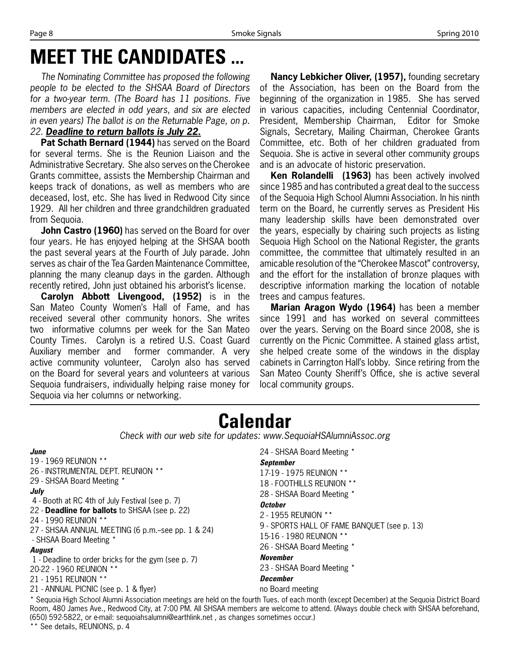# **MEET THE CANDIDATES**

*The Nominating Committee has proposed the following people to be elected to the SHSAA Board of Directors for a two-year term. (The Board has 11 positions. Five members are elected in odd years, and six are elected in even years) The ballot is on the Returnable Page, on p. 22. Deadline to return ballots is July 22.*

**Pat Schath Bernard (1944)** has served on the Board for several terms. She is the Reunion Liaison and the Administrative Secretary. She also serves on the Cherokee Grants committee, assists the Membership Chairman and keeps track of donations, as well as members who are deceased, lost, etc. She has lived in Redwood City since 1929. All her children and three grandchildren graduated from Sequoia.

**John Castro (1960)** has served on the Board for over four years. He has enjoyed helping at the SHSAA booth the past several years at the Fourth of July parade. John serves as chair of the Tea Garden Maintenance Committee, planning the many cleanup days in the garden. Although recently retired, John just obtained his arborist's license.

**Carolyn Abbott Livengood, (1952)** is in the San Mateo County Women's Hall of Fame, and has received several other community honors. She writes two informative columns per week for the San Mateo County Times. Carolyn is a retired U.S. Coast Guard Auxiliary member and former commander. A very active community volunteer, Carolyn also has served on the Board for several years and volunteers at various Sequoia fundraisers, individually helping raise money for Sequoia via her columns or networking.

**Nancy Lebkicher Oliver, (1957),** founding secretary of the Association, has been on the Board from the beginning of the organization in 1985. She has served in various capacities, including Centennial Coordinator, President, Membership Chairman, Editor for Smoke Signals, Secretary, Mailing Chairman, Cherokee Grants Committee, etc. Both of her children graduated from Sequoia. She is active in several other community groups and is an advocate of historic preservation.

**Ken Rolandelli (1963)** has been actively involved since 1985 and has contributed a great deal to the success of the Sequoia High School Alumni Association. In his ninth term on the Board, he currently serves as President His many leadership skills have been demonstrated over the years, especially by chairing such projects as listing Sequoia High School on the National Register, the grants committee, the committee that ultimately resulted in an amicable resolution of the "Cherokee Mascot" controversy, and the effort for the installation of bronze plaques with descriptive information marking the location of notable trees and campus features.

**Marian Aragon Wydo (1964)** has been a member since 1991 and has worked on several committees over the years. Serving on the Board since 2008, she is currently on the Picnic Committee. A stained glass artist, she helped create some of the windows in the display cabinets in Carrington Hall's lobby. Since retiring from the San Mateo County Sheriff's Office, she is active several local community groups.

# **Calendar**

*Check with our web site for updates: www.SequoiaHSAlumniAssoc.org*

#### *June*

- 19 1969 REUNION \*\* 26 - INSTRUMENTAL DEPT. REUNION \*\*
- 29 SHSAA Board Meeting \*

#### *July*

- 4 Booth at RC 4th of July Festival (see p. 7)
- 22 **Deadline for ballots** to SHSAA (see p. 22)
- 24 1990 REUNION \*\*
- 27 SHSAA ANNUAL MEETING (6 p.m.-see pp. 1 & 24) - SHSAA Board Meeting \*

#### *August*

- 1 Deadline to order bricks for the gym (see p. 7)
- 20-22 1960 REUNION \*\*
- 21 1951 REUNION \*\*
- 21 ANNUAL PICNIC (see p. 1 & flyer)

```
24 - SHSAA Board Meeting *
September
17-19 - 1975 REUNION **
18 - FOOTHILLS REUNION **
28 - SHSAA Board Meeting *
October
2 - 1955 REUNION **
9 - SPORTS HALL OF FAME BANQUET (see p. 13)
15-16 - 1980 REUNION ** 
26 - SHSAA Board Meeting *
November
23 - SHSAA Board Meeting *
December
no Board meeting
```
\* Sequoia High School Alumni Association meetings are held on the fourth Tues. of each month (except December) at the Sequoia District Board Room, 480 James Ave., Redwood City, at 7:00 PM. All SHSAA members are welcome to attend. (Always double check with SHSAA beforehand, (650) 592-5822, or e-mail: sequoiahsalumni@earthlink.net , as changes sometimes occur.) \*\* See details, REUNIONS, p. 4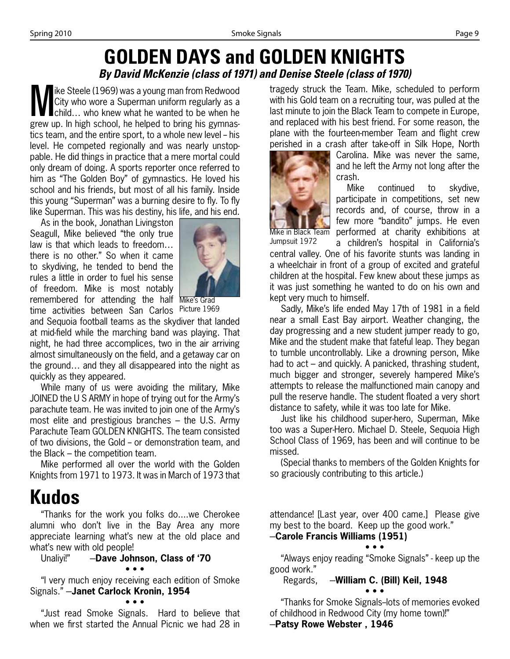### **GOLDEN DAYS and GOLDEN KNIGHTS** *By David McKenzie (class of 1971) and Denise Steele (class of 1970)*

We Steele (1969) was a young man from Redwood<br>City who wore a Superman uniform regularly as a<br>child... who knew what he wanted to be when he<br>grow up in high school, he helped to bring highwannes City who wore a Superman uniform regularly as a ■child... who knew what he wanted to be when he grew up. In high school, he helped to bring his gymnastics team, and the entire sport, to a whole new level - his level. He competed regionally and was nearly unstoppable. He did things in practice that a mere mortal could only dream of doing. A sports reporter once referred to him as "The Golden Boy" of gymnastics. He loved his school and his friends, but most of all his family. Inside this young "Superman" was a burning desire to fly. To fly like Superman. This was his destiny, his life, and his end.

As in the book, Jonathan Livingston Seagull, Mike believed "the only true law is that which leads to freedom… there is no other." So when it came to skydiving, he tended to bend the rules a little in order to fuel his sense of freedom. Mike is most notably remembered for attending the half Mike's Grad time activities between San Carlos Picture 1969



and Sequoia football teams as the skydiver that landed at mid-field while the marching band was playing. That night, he had three accomplices, two in the air arriving almost simultaneously on the field, and a getaway car on the ground… and they all disappeared into the night as quickly as they appeared.

While many of us were avoiding the military, Mike JOINED the U S ARMY in hope of trying out for the Army's parachute team. He was invited to join one of the Army's most elite and prestigious branches – the U.S. Army Parachute Team GOLDEN KNIGHTS. The team consisted of two divisions, the Gold – or demonstration team, and the Black – the competition team.

Mike performed all over the world with the Golden Knights from 1971 to 1973. It was in March of 1973 that

# **Kudos**

"Thanks for the work you folks do....we Cherokee alumni who don't live in the Bay Area any more appreciate learning what's new at the old place and what's new with old people!

Unaliyi!" - Dave Johnson, Class of '70

#### • • •

"I very much enjoy receiving each edition of Smoke Signals." -**Janet Carlock Kronin, 1954** 

• • •

"Just read Smoke Signals. Hard to believe that when we first started the Annual Picnic we had 28 in tragedy struck the Team. Mike, scheduled to perform with his Gold team on a recruiting tour, was pulled at the last minute to join the Black Team to compete in Europe, and replaced with his best friend. For some reason, the plane with the fourteen-member Team and flight crew perished in a crash after take-off in Silk Hope, North



Carolina. Mike was never the same, and he left the Army not long after the crash.

Mike continued to skydive, participate in competitions, set new records and, of course, throw in a few more "bandito" jumps. He even performed at charity exhibitions at a children's hospital in California's

central valley. One of his favorite stunts was landing in a wheelchair in front of a group of excited and grateful children at the hospital. Few knew about these jumps as it was just something he wanted to do on his own and Jumpsuit 1972

kept very much to himself. Sadly, Mike's life ended May 17th of 1981 in a field near a small East Bay airport. Weather changing, the day progressing and a new student jumper ready to go, Mike and the student make that fateful leap. They began to tumble uncontrollably. Like a drowning person, Mike had to act – and quickly. A panicked, thrashing student, much bigger and stronger, severely hampered Mike's attempts to release the malfunctioned main canopy and pull the reserve handle. The student floated a very short distance to safety, while it was too late for Mike.

Just like his childhood super-hero, Superman, Mike too was a Super-Hero. Michael D. Steele, Sequoia High School Class of 1969, has been and will continue to be missed.

(Special thanks to members of the Golden Knights for so graciously contributing to this article.)

attendance! [Last year, over 400 came.] Please give my best to the board. Keep up the good work."

#### -Carole Francis Williams (1951) • • •

"Always enjoy reading "Smoke Signals" - keep up the good work."

Regards, -**William C. (Bill) Keil, 1948** 

• • •

"Thanks for Smoke Signals--lots of memories evoked of childhood in Redwood City (my home town)!"

-Patsy Rowe Webster, 1946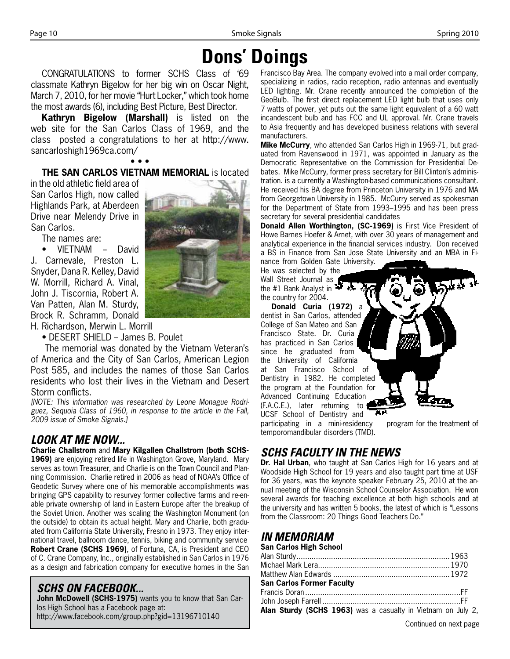# **Dons' Doings**

CONGRATULATIONS to former SCHS Class of '69 classmate Kathryn Bigelow for her big win on Oscar Night, March 7, 2010, for her movie "Hurt Locker," which took home the most awards (6), including Best Picture, Best Director.

**Kathryn Bigelow (Marshall)** is listed on the web site for the San Carlos Class of 1969, and the class posted a congratulations to her at http://www. sancarloshigh1969ca.com/

• • • **THE SAN CARLOS VIETNAM MEMORIAL** is located

in the old athletic field area of San Carlos High, now called Highlands Park, at Aberdeen Drive near Melendy Drive in San Carlos.

The names are:

VIETNAM - David J. Carnevale, Preston L. Snyder, Dana R. Kelley, David W. Morrill, Richard A. Vinal, John J. Tiscornia, Robert A. Van Patten, Alan M. Sturdy, Brock R. Schramm, Donald



H. Richardson, Merwin L. Morrill

• DESERT SHIELD - James B. Poulet

The memorial was donated by the Vietnam Veteran's of America and the City of San Carlos, American Legion Post 585, and includes the names of those San Carlos residents who lost their lives in the Vietnam and Desert Storm conflicts.

*[NOTE: This information was researched by Leone Monague Rodriguez, Sequoia Class of 1960, in response to the article in the Fall, 2009 issue of Smoke Signals.]*

### *LOOK AT ME NOW...*

**Charlie Challstrom** and **Mary Kilgallen Challstrom (both SCHS-1969)** are enjoying retired life in Washington Grove, Maryland. Mary serves as town Treasurer, and Charlie is on the Town Council and Planning Commission. Charlie retired in 2006 as head of NOAA's Office of Geodetic Survey where one of his memorable accomplishments was bringing GPS capability to resurvey former collective farms and re-enable private ownership of land in Eastern Europe after the breakup of the Soviet Union. Another was scaling the Washington Monument (on the outside) to obtain its actual height. Mary and Charlie, both graduated from California State University, Fresno in 1973. They enjoy international travel, ballroom dance, tennis, biking and community service **Robert Crane (SCHS 1969)**, of Fortuna, CA, is President and CEO of C. Crane Company, Inc., originally established in San Carlos in 1976 as a design and fabrication company for executive homes in the San

### *SCHS ON FACEBOOK...*

**John McDowell (SCHS-1975)** wants you to know that San Carlos High School has a Facebook page at: http://www.facebook.com/group.php?gid=13196710140

Francisco Bay Area. The company evolved into a mail order company, specializing in radios, radio reception, radio antennas and eventually LED lighting. Mr. Crane recently announced the completion of the GeoBulb. The first direct replacement LED light bulb that uses only 7 watts of power, yet puts out the same light equivalent of a 60 watt incandescent bulb and has FCC and UL approval. Mr. Crane travels to Asia frequently and has developed business relations with several manufacturers.

**Mike McCurry**, who attended San Carlos High in 1969-71, but graduated from Ravenswood in 1971, was appointed in January as the Democratic Representative on the Commission for Presidential Debates. Mike McCurry, former press secretary for Bill Clinton's administration. is a currently a Washington-based communications consultant. He received his BA degree from Princeton University in 1976 and MA from Georgetown University in 1985. McCurry served as spokesman for the Department of State from 1993–1995 and has been press secretary for several presidential candidates

**Donald Allen Worthington, (SC-1969)** is First Vice President of Howe Barnes Hoefer & Arnet, with over 30 years of management and analytical experience in the financial services industry. Don received a BS in Finance from San Jose State University and an MBA in Finance from Golden Gate University.

He was selected by the Wall Street Journal as the #1 Bank Analyst in  $\mathbf{H}$ the country for 2004.

**Donald Curia (1972)** a dentist in San Carlos, attended College of San Mateo and San Francisco State. Dr. Curia has practiced in San Carlos since he graduated from the University of California at San Francisco School of Dentistry in 1982. He completed the program at the Foundation for Advanced Continuing Education (F.A.C.E.), later returning to UCSF School of Dentistry and

participating in a mini-residency program for the treatment of temporomandibular disorders (TMD).

### *SCHS FACULTY IN THE NEWS*

**Dr. Hal Urban**, who taught at San Carlos High for 16 years and at Woodside High School for 19 years and also taught part time at USF for 36 years, was the keynote speaker February 25, 2010 at the annual meeting of the Wisconsin School Counselor Association. He won several awards for teaching excellence at both high schools and at the university and has written 5 books, the latest of which is "Lessons from the Classroom: 20 Things Good Teachers Do."

### *IN MEMORIAM*

| San Carlos High School                                       |  |
|--------------------------------------------------------------|--|
|                                                              |  |
|                                                              |  |
|                                                              |  |
| <b>San Carlos Former Faculty</b>                             |  |
|                                                              |  |
|                                                              |  |
| Alan Sturdy (SCHS 1963) was a casualty in Vietnam on July 2, |  |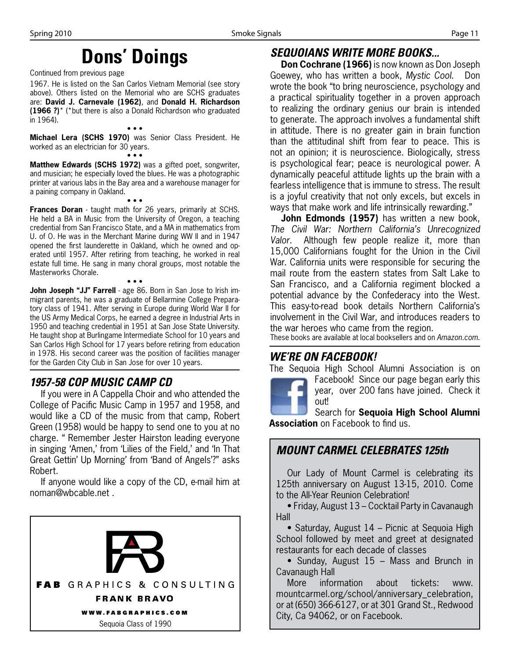# **Dons' Doings**

Continued from previous page

1967. He is listed on the San Carlos Vietnam Memorial (see story above). Others listed on the Memorial who are SCHS graduates are: **David J. Carnevale (1962)**, and **Donald H. Richardson (1966 ?)**\* (\*but there is also a Donald Richardson who graduated in 1964).

• • • **Michael Lera (SCHS 1970)** was Senior Class President. He worked as an electrician for 30 years.

• • • **Matthew Edwards (SCHS 1972)** was a gifted poet, songwriter, and musician; he especially loved the blues. He was a photographic printer at various labs in the Bay area and a warehouse manager for a paining company in Oakland.

• • • **Frances Doran** - taught math for 26 years, primarily at SCHS. He held a BA in Music from the University of Oregon, a teaching credential from San Francisco State, and a MA in mathematics from U. of O. He was in the Merchant Marine during WW II and in 1947 opened the first launderette in Oakland, which he owned and operated until 1957. After retiring from teaching, he worked in real estate full time. He sang in many choral groups, most notable the Masterworks Chorale.

• • • **John Joseph "JJ" Farrell** - age 86. Born in San Jose to Irish immigrant parents, he was a graduate of Bellarmine College Preparatory class of 1941. After serving in Europe during World War II for the US Army Medical Corps, he earned a degree in Industrial Arts in 1950 and teaching credential in 1951 at San Jose State University. He taught shop at Burlingame Intermediate School for 10 years and San Carlos High School for 17 years before retiring from education in 1978. His second career was the position of facilities manager for the Garden City Club in San Jose for over 10 years.

### *1957-58 COP MUSIC CAMP CD*

If you were in A Cappella Choir and who attended the College of Pacific Music Camp in 1957 and 1958, and would like a CD of the music from that camp, Robert Green (1958) would be happy to send one to you at no charge. " Remember Jester Hairston leading everyone in singing 'Amen,' from 'Lilies of the Field,' and 'In That Great Gettin' Up Morning' from 'Band of Angels'?" asks Robert.

If anyone would like a copy of the CD, e-mail him at noman@wbcable.net .



#### *SEQUOIANS WRITE MORE BOOKS...*

**Don Cochrane (1966)** is now known as Don Joseph Goewey, who has written a book, *Mystic Cool*. Don wrote the book "to bring neuroscience, psychology and a practical spirituality together in a proven approach to realizing the ordinary genius our brain is intended to generate. The approach involves a fundamental shift in attitude. There is no greater gain in brain function than the attitudinal shift from fear to peace. This is not an opinion; it is neuroscience. Biologically, stress is psychological fear; peace is neurological power. A dynamically peaceful attitude lights up the brain with a fearless intelligence that is immune to stress. The result is a joyful creativity that not only excels, but excels in ways that make work and life intrinsically rewarding."

**John Edmonds (1957)** has written a new book, *The Civil War: Northern California's Unrecognized Valor*. Although few people realize it, more than 15,000 Californians fought for the Union in the Civil War. California units were responsible for securing the mail route from the eastern states from Salt Lake to San Francisco, and a California regiment blocked a potential advance by the Confederacy into the West. This easy-to-read book details Northern California's involvement in the Civil War, and introduces readers to the war heroes who came from the region.

These books are available at local booksellers and on *Amazon.com*.

#### *WE'RE ON FACEBOOK!*

The Sequoia High School Alumni Association is on

Facebook! Since our page began early this year, over 200 fans have joined. Check it out!

Search for **Sequoia High School Alumni Association** on Facebook to find us.

### *MOUNT CARMEL CELEBRATES 125th*

Our Lady of Mount Carmel is celebrating its 125th anniversary on August 13-15, 2010. Come to the All-Year Reunion Celebration!

• Friday, August 13 – Cocktail Party in Cavanaugh Hall

• Saturday, August 14 – Picnic at Sequoia High School followed by meet and greet at designated restaurants for each decade of classes

• Sunday, August 15 – Mass and Brunch in Cavanaugh Hall

More information about tickets: www. mountcarmel.org/school/anniversary\_celebration, or at (650) 366-6127, or at 301 Grand St., Redwood City, Ca 94062, or on Facebook.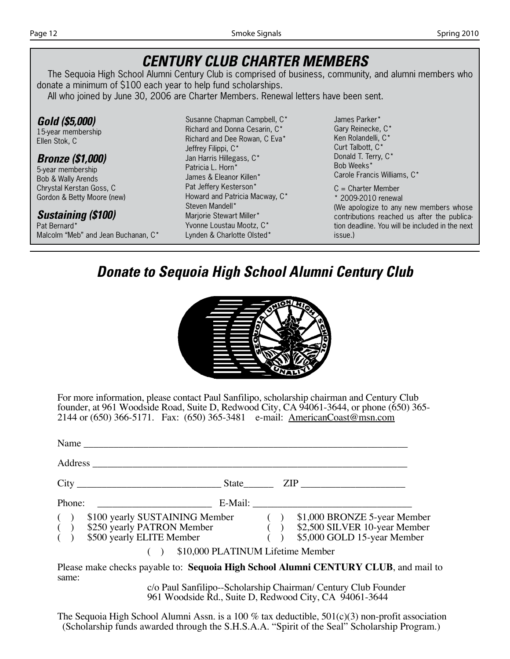### *CENTURY CLUB CHARTER MEMBERS*

The Sequoia High School Alumni Century Club is comprised of business, community, and alumni members who donate a minimum of \$100 each year to help fund scholarships.

All who joined by June 30, 2006 are Charter Members. Renewal letters have been sent.

*Gold (\$5,000)* 15-year membership Ellen Stok, C

#### *Bronze (\$1,000)*

5-year membership Bob & Wally Arends Chrystal Kerstan Goss, C Gordon & Betty Moore (new)

#### *Sustaining (\$100)*

Pat Bernard\* Malcolm "Meb" and Jean Buchanan, C\* Susanne Chapman Campbell, C\* Richard and Donna Cesarin, C\* Richard and Dee Rowan, C Eva\* Jeffrey Filippi, C\* Jan Harris Hillegass, C\* Patricia L. Horn\* James & Eleanor Killen\* Pat Jeffery Kesterson\* Howard and Patricia Macway, C\* Steven Mandell\* Marjorie Stewart Miller\* Yvonne Loustau Mootz, C\* Lynden & Charlotte Olsted\*

James Parker\* Gary Reinecke, C\* Ken Rolandelli, C\* Curt Talbott, C\* Donald T. Terry, C\* Bob Weeks\* Carole Francis Williams, C\*

C = Charter Member \* 2009-2010 renewal (We apologize to any new members whose contributions reached us after the publication deadline. You will be included in the next issue.)

### *Donate to Sequoia High School Alumni Century Club*



For more information, please contact Paul Sanfilipo, scholarship chairman and Century Club founder, at 961 Woodside Road, Suite D, Redwood City, CA 94061-3644, or phone (650) 365- 2144 or (650) 366-5171. Fax: (650) 365-3481 e-mail: AmericanCoast@msn.com

|                                             | Name                                                                                                                                                                                       |  |                             |
|---------------------------------------------|--------------------------------------------------------------------------------------------------------------------------------------------------------------------------------------------|--|-----------------------------|
|                                             | Address                                                                                                                                                                                    |  |                             |
|                                             | State                                                                                                                                                                                      |  |                             |
| Phone:                                      |                                                                                                                                                                                            |  | E-Mail:                     |
| $\begin{pmatrix} 1 \\ 0 \\ 1 \end{pmatrix}$ | \$100 yearly SUSTAINING Member (b) \$1,000 BRONZE 5-year Member<br>\$250 yearly PATRON Member (c) \$2,500 SILVER 10-year Member<br>\$250 yearly PATRON Member<br>\$500 yearly ELITE Member |  | \$5,000 GOLD 15-year Member |
|                                             | \$10,000 PLATINUM Lifetime Member                                                                                                                                                          |  |                             |

Please make checks payable to: **Sequoia High School Alumni CENTURY CLUB**, and mail to same:

c/o Paul Sanfilipo--Scholarship Chairman/ Century Club Founder 961 Woodside Rd., Suite D, Redwood City, CA 94061-3644

The Sequoia High School Alumni Assn. is a 100 % tax deductible,  $501(c)(3)$  non-profit association (Scholarship funds awarded through the S.H.S.A.A. "Spirit of the Seal" Scholarship Program.)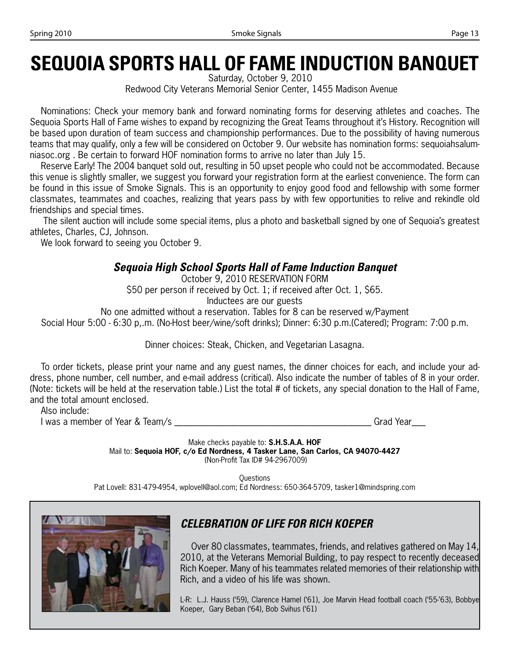# **SEQUOIA SPORTS HALL OF FAME INDUCTION BANQUET**

Saturday, October 9, 2010

Redwood City Veterans Memorial Senior Center, 1455 Madison Avenue

Nominations: Check your memory bank and forward nominating forms for deserving athletes and coaches. The Sequoia Sports Hall of Fame wishes to expand by recognizing the Great Teams throughout it's History. Recognition will be based upon duration of team success and championship performances. Due to the possibility of having numerous teams that may qualify, only a few will be considered on October 9. Our website has nomination forms: sequoiahsalumniasoc.org . Be certain to forward HOF nomination forms to arrive no later than July 15.

Reserve Early! The 2004 banquet sold out, resulting in 50 upset people who could not be accommodated. Because this venue is slightly smaller, we suggest you forward your registration form at the earliest convenience. The form can be found in this issue of Smoke Signals. This is an opportunity to enjoy good food and fellowship with some former classmates, teammates and coaches, realizing that years pass by with few opportunities to relive and rekindle old friendships and special times.

 The silent auction will include some special items, plus a photo and basketball signed by one of Sequoia's greatest athletes, Charles, CJ, Johnson.

We look forward to seeing you October 9.

### *Sequoia High School Sports Hall of Fame Induction Banquet*

October 9, 2010 RESERVATION FORM \$50 per person if received by Oct. 1; if received after Oct. 1, \$65. Inductees are our guests

No one admitted without a reservation. Tables for 8 can be reserved w/Payment

Social Hour 5:00 - 6:30 p,.m. (No-Host beer/wine/soft drinks); Dinner: 6:30 p.m.(Catered); Program: 7:00 p.m.

Dinner choices: Steak, Chicken, and Vegetarian Lasagna.

To order tickets, please print your name and any guest names, the dinner choices for each, and include your address, phone number, cell number, and e-mail address (critical). Also indicate the number of tables of 8 in your order. (Note: tickets will be held at the reservation table.) List the total # of tickets, any special donation to the Hall of Fame, and the total amount enclosed.

Also include:

I was a member of Year & Team/s \_\_\_\_\_\_\_\_\_\_\_\_\_\_\_\_\_\_\_\_\_\_\_\_\_\_\_\_\_\_\_\_\_\_\_\_\_\_\_\_\_\_\_ Grad Year\_\_\_

Make checks payable to: **S.H.S.A.A. HOF**  Mail to: **Sequoia HOF, c/o Ed Nordness, 4 Tasker Lane, San Carlos, CA 94070-4427** (Non-Profit Tax ID# 94-2967009)

**Ouestions** Pat Lovell: 831-479-4954, wplovell@aol.com; Ed Nordness: 650-364-5709, tasker1@mindspring.com



### *CELEBRATION OF LIFE FOR RICH KOEPER*

Over 80 classmates, teammates, friends, and relatives gathered on May 14, 2010, at the Veterans Memorial Building, to pay respect to recently deceased Rich Koeper. Many of his teammates related memories of their relationship with Rich, and a video of his life was shown.

L-R: L.J. Hauss ('59), Clarence Hamel ('61), Joe Marvin Head football coach ('55-'63), Bobbye Koeper, Gary Beban ('64), Bob Svihus ('61)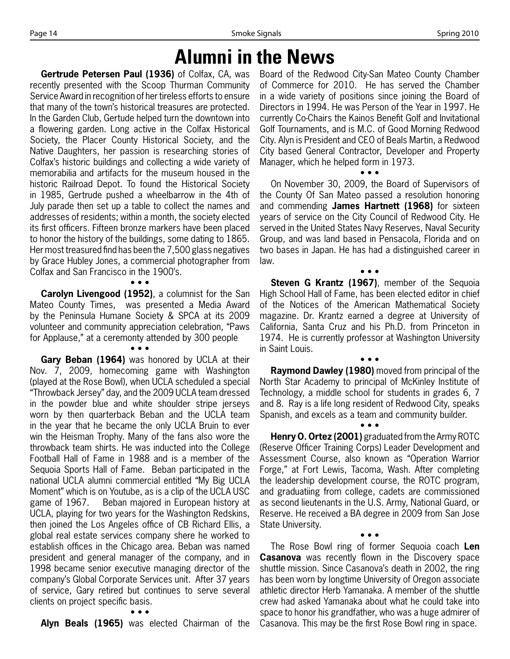# **Alumni in the News**

**Gertrude Petersen Paul (1936)** of Colfax, CA, was recently presented with the Scoop Thurman Community Service Award in recognition of her tireless efforts to ensure that many of the town's historical treasures are protected. In the Garden Club, Gertude helped turn the downtown into a flowering garden. Long active in the Colfax Historical Society, the Placer County Historical Society, and the Native Daughters, her passion is researching stories of Colfax's historic buildings and collecting a wide variety of memorabilia and artifacts for the museum housed in the historic Railroad Depot. To found the Historical Society in 1985, Gertrude pushed a wheelbarrow in the 4th of July parade then set up a table to collect the names and addresses of residents; within a month, the society elected its first officers. Fifteen bronze markers have been placed to honor the history of the buildings, some dating to 1865. Her most treasured find has been the 7,500 glass negatives by Grace Hubley Jones, a commercial photographer from Colfax and San Francisco in the 1900's. • • •

**Carolyn Livengood (1952)**, a columnist for the San Mateo County Times, was presented a Media Award by the Peninsula Humane Society & SPCA at its 2009 volunteer and community appreciation celebration, "Paws for Applause," at a ceremonty attended by 300 people • • •

**Gary Beban (1964)** was honored by UCLA at their Nov. 7, 2009, homecoming game with Washington (played at the Rose Bowl), when UCLA scheduled a special "Throwback Jersey" day, and the 2009 UCLA team dressed in the powder blue and white shoulder stripe jerseys worn by then quarterback Beban and the UCLA team in the year that he became the only UCLA Bruin to ever win the Heisman Trophy. Many of the fans also wore the throwback team shirts. He was inducted into the College Football Hall of Fame in 1988 and is a member of the Sequoia Sports Hall of Fame. Beban participated in the national UCLA alumni commercial entitled "My Big UCLA Moment" which is on Youtube, as is a clip of the UCLA USC game of 1967. Beban majored in European history at UCLA, playing for two years for the Washington Redskins, then joined the Los Angeles office of CB Richard Ellis, a global real estate services company shere he worked to establish offices in the Chicago area. Beban was named president and general manager of the company, and in 1998 became senior executive managing director of the company's Global Corporate Services unit. After 37 years of service, Gary retired but continues to serve several clients on project specific basis.

**Alyn Beals (1965)** was elected Chairman of the

• • •

Board of the Redwood City-San Mateo County Chamber of Commerce for 2010. He has served the Chamber in a wide variety of positions since joining the Board of Directors in 1994. He was Person of the Year in 1997. He currently Co-Chairs the Kainos Benefit Golf and Invitational Golf Tournaments, and is M.C. of Good Morning Redwood City. Alyn is President and CEO of Beals Martin, a Redwood City based General Contractor, Developer and Property Manager, which he helped form in 1973.

• • • On November 30, 2009, the Board of Supervisors of the County Of San Mateo passed a resolution honoring and commending **James Hartnett (1968)** for sixteen years of service on the City Council of Redwood City. He served in the United States Navy Reserves, Naval Security Group, and was land based in Pensacola, Florida and on two bases in Japan. He has had a distinguished career in law.

• • • **Steven G Krantz (1967)**, member of the Sequoia High School Hall of Fame, has been elected editor in chief of the Notices of the American Mathematical Society magazine. Dr. Krantz earned a degree at University of California, Santa Cruz and his Ph.D. from Princeton in 1974. He is currently professor at Washington University in Saint Louis.

• • • **Raymond Dawley (1980)** moved from principal of the North Star Academy to principal of McKinley Institute of Technology, a middle school for students in grades 6, 7 and 8. Ray is a life long resident of Redwood City, speaks Spanish, and excels as a team and community builder.

• • • **Henry O. Ortez (2001)** graduated from the Army ROTC (Reserve Officer Training Corps) Leader Development and Assessment Course, also known as "Operation Warrior Forge," at Fort Lewis, Tacoma, Wash. After completing the leadership development course, the ROTC program, and graduatiing from college, cadets are commissioned as second lieutenants in the U.S. Army, National Guard, or Reserve. He received a BA degree in 2009 from San Jose State University.

• • • The Rose Bowl ring of former Sequoia coach **Len Casanova** was recently flown in the Discovery space shuttle mission. Since Casanova's death in 2002, the ring has been worn by longtime University of Oregon associate athletic director Herb Yamanaka. A member of the shuttle crew had asked Yamanaka about what he could take into space to honor his grandfather, who was a huge admirer of Casanova. This may be the first Rose Bowl ring in space.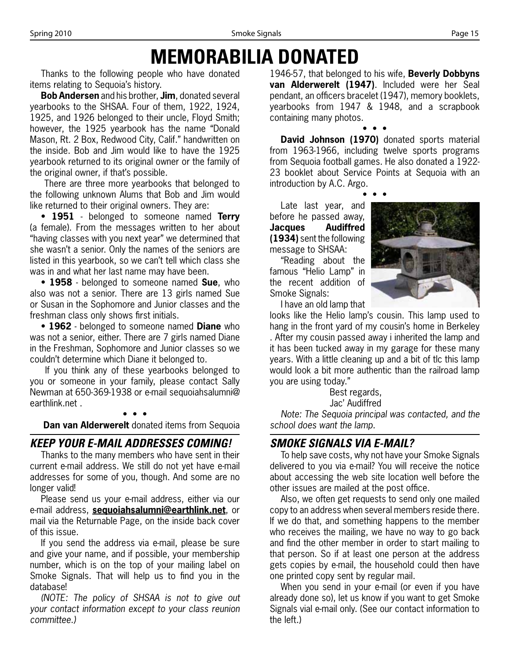# **MEMORABILIA DONATED**

Thanks to the following people who have donated items relating to Sequoia's history.

**Bob Andersen** and his brother, **Jim**, donated several yearbooks to the SHSAA. Four of them, 1922, 1924, 1925, and 1926 belonged to their uncle, Floyd Smith; however, the 1925 yearbook has the name "Donald Mason, Rt. 2 Box, Redwood City, Calif." handwritten on the inside. Bob and Jim would like to have the 1925 yearbook returned to its original owner or the family of the original owner, if that's possible.

 There are three more yearbooks that belonged to the following unknown Alums that Bob and Jim would like returned to their original owners. They are:

• **1951** - belonged to someone named **Terry** (a female). From the messages written to her about "having classes with you next year" we determined that she wasn't a senior. Only the names of the seniors are listed in this yearbook, so we can't tell which class she was in and what her last name may have been.

• **1958** - belonged to someone named **Sue**, who also was not a senior. There are 13 girls named Sue or Susan in the Sophomore and Junior classes and the freshman class only shows first initials.

• **1962** - belonged to someone named **Diane** who was not a senior, either. There are 7 girls named Diane in the Freshman, Sophomore and Junior classes so we couldn't determine which Diane it belonged to.

 If you think any of these yearbooks belonged to you or someone in your family, please contact Sally Newman at 650-369-1938 or e-mail sequoiahsalumni@ earthlink.net .

#### • • • **Dan van Alderwerelt** donated items from Sequoia

### *KEEP YOUR E-MAIL ADDRESSES COMING!*

Thanks to the many members who have sent in their current e-mail address. We still do not yet have e-mail addresses for some of you, though. And some are no longer valid!

Please send us your e-mail address, either via our e-mail address, **sequoiahsalumni@earthlink.net**, or mail via the Returnable Page, on the inside back cover of this issue.

If you send the address via e-mail, please be sure and give your name, and if possible, your membership number, which is on the top of your mailing label on Smoke Signals. That will help us to find you in the database!

*(NOTE: The policy of SHSAA is not to give out your contact information except to your class reunion committee.)*

1946-57, that belonged to his wife, **Beverly Dobbyns van Alderwerelt (1947)**. Included were her Seal pendant, an officers bracelet (1947), memory booklets, yearbooks from 1947 & 1948, and a scrapbook containing many photos.

• • • **David Johnson (1970)** donated sports material from 1963-1966, including twelve sports programs from Sequoia football games. He also donated a 1922- 23 booklet about Service Points at Sequoia with an introduction by A.C. Argo.

• • •

Late last year, and before he passed away, **Jacques Audiffred (1934)** sent the following message to SHSAA:

"Reading about the famous "Helio Lamp" in the recent addition of Smoke Signals:

I have an old lamp that

looks like the Helio lamp's cousin. This lamp used to hang in the front yard of my cousin's home in Berkeley . After my cousin passed away i inherited the lamp and it has been tucked away in my garage for these many years. With a little cleaning up and a bit of tlc this lamp would look a bit more authentic than the railroad lamp you are using today."

Best regards,

Jac' Audiffred

*Note: The Sequoia principal was contacted, and the school does want the lamp.*

### *SMOKE SIGNALS VIA E-MAIL?*

To help save costs, why not have your Smoke Signals delivered to you via e-mail? You will receive the notice about accessing the web site location well before the other issues are mailed at the post office.

Also, we often get requests to send only one mailed copy to an address when several members reside there. If we do that, and something happens to the member who receives the mailing, we have no way to go back and find the other member in order to start mailing to that person. So if at least one person at the address gets copies by e-mail, the household could then have one printed copy sent by regular mail.

When you send in your e-mail (or even if you have already done so), let us know if you want to get Smoke Signals vial e-mail only. (See our contact information to the left.)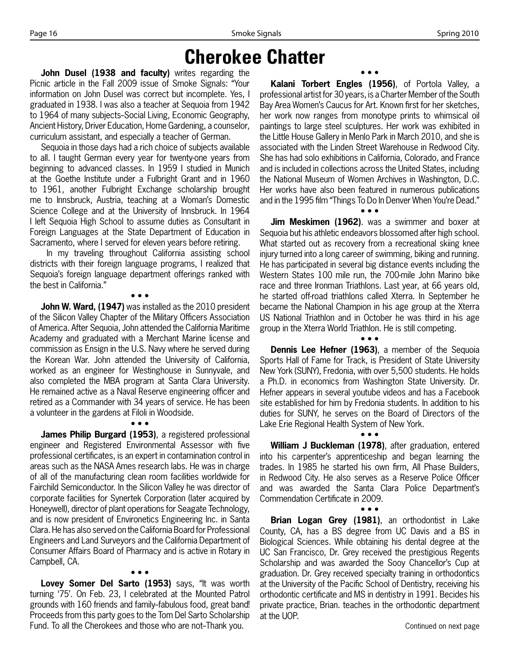## **Cherokee Chatter**

**John Dusel (1938 and faculty)** writes regarding the Picnic article in the Fall 2009 issue of Smoke Signals: "Your information on John Dusel was correct but incomplete. Yes, I graduated in 1938. I was also a teacher at Sequoia from 1942 to 1964 of many subjects-Social Living, Economic Geography, Ancient History, Driver Education, Home Gardening, a counselor, curriculum assistant, and especially a teacher of German.

Sequoia in those days had a rich choice of subjects available to all. I taught German every year for twenty-one years from beginning to advanced classes. In 1959 I studied in Munich at the Goethe Institute under a Fulbright Grant and in 1960 to 1961, another Fulbright Exchange scholarship brought me to Innsbruck, Austria, teaching at a Woman's Domestic Science College and at the University of Innsbruck. In 1964 I left Sequoia High School to assume duties as Consultant in Foreign Languages at the State Department of Education in Sacramento, where I served for eleven years before retiring.

 In my traveling throughout California assisting school districts with their foreign language programs, I realized that Sequoia's foreign language department offerings ranked with the best in California."

• • •

**John W. Ward, (1947)** was installed as the 2010 president of the Silicon Valley Chapter of the Military Officers Association of America. After Sequoia, John attended the California Maritime Academy and graduated with a Merchant Marine license and commission as Ensign in the U.S. Navy where he served during the Korean War. John attended the University of California, worked as an engineer for Westinghouse in Sunnyvale, and also completed the MBA program at Santa Clara University. He remained active as a Naval Reserve engineering officer and retired as a Commander with 34 years of service. He has been a volunteer in the gardens at Filoli in Woodside.

• • •

**James Philip Burgard (1953)**, a registered professional engineer and Registered Environmental Assessor with five professional certificates, is an expert in contamination control in areas such as the NASA Ames research labs. He was in charge of all of the manufacturing clean room facilities worldwide for Fairchild Semiconductor. In the Silicon Valley he was director of corporate facilities for Synertek Corporation (later acquired by Honeywell), director of plant operations for Seagate Technology, and is now president of Environetics Engineering Inc. in Santa Clara. He has also served on the California Board for Professional Engineers and Land Surveyors and the California Department of Consumer Affairs Board of Pharmacy and is active in Rotary in Campbell, CA.

• • • **Lovey Somer Del Sarto (1953)** says, "It was worth turning '75'. On Feb. 23, I celebrated at the Mounted Patrol grounds with 160 friends and family-fabulous food, great band! Proceeds from this party goes to the Tom Del Sarto Scholarship Fund. To all the Cherokees and those who are not-Thank you.

**Kalani Torbert Engles (1956)**, of Portola Valley, a professional artist for 30 years, is a Charter Member of the South Bay Area Women's Caucus for Art. Known first for her sketches, her work now ranges from monotype prints to whimsical oil paintings to large steel sculptures. Her work was exhibited in the Little House Gallery in Menlo Park in March 2010, and she is associated with the Linden Street Warehouse in Redwood City. She has had solo exhibitions in California, Colorado, and France and is included in collections across the United States, including the National Museum of Women Archives in Washington, D.C. Her works have also been featured in numerous publications and in the 1995 film "Things To Do In Denver When You're Dead."

• • •

**Jim Meskimen (1962)**. was a swimmer and boxer at Sequoia but his athletic endeavors blossomed after high school. What started out as recovery from a recreational skiing knee injury turned into a long career of swimming, biking and running. He has participated in several big distance events including the Western States 100 mile run, the 700-mile John Marino bike race and three Ironman Triathlons. Last year, at 66 years old, he started off-road triathlons called Xterra. In September he became the National Champion in his age group at the Xterra US National Triathlon and in October he was third in his age group in the Xterra World Triathlon. He is still competing.

• • •

• • • **Dennis Lee Hefner (1963)**, a member of the Sequoia Sports Hall of Fame for Track, is President of State University New York (SUNY), Fredonia, with over 5,500 students. He holds a Ph.D. in economics from Washington State University. Dr. Hefner appears in several youtube videos and has a Facebook site established for him by Fredonia students. In addition to his duties for SUNY, he serves on the Board of Directors of the Lake Erie Regional Health System of New York.

• • • **William J Buckleman (1978)**, after graduation, entered into his carpenter's apprenticeship and began learning the trades. In 1985 he started his own firm, All Phase Builders, in Redwood City. He also serves as a Reserve Police Officer and was awarded the Santa Clara Police Department's Commendation Certificate in 2009.

• • •

**Brian Logan Grey (1981)**, an orthodontist in Lake County, CA, has a BS degree from UC Davis and a BS in Biological Sciences. While obtaining his dental degree at the UC San Francisco, Dr. Grey received the prestigious Regents Scholarship and was awarded the Sooy Chancellor's Cup at graduation. Dr. Grey received specialty training in orthodontics at the University of the Pacific School of Dentistry, receiving his orthodontic certificate and MS in dentistry in 1991. Becides his private practice, Brian. teaches in the orthodontic department at the UOP.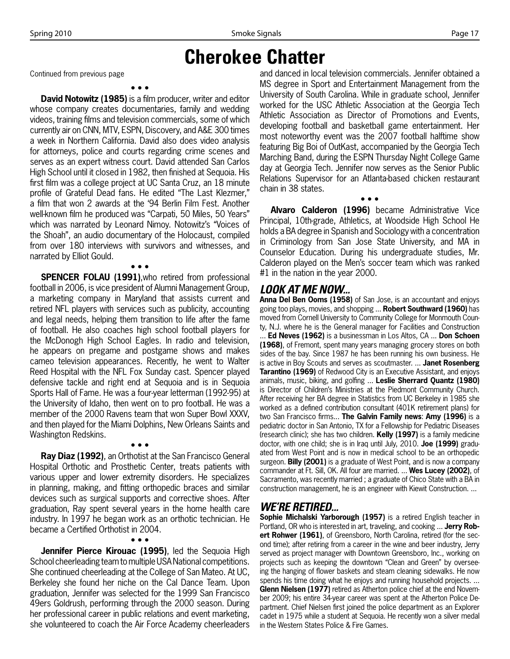### **Cherokee Chatter**

Continued from previous page

• • • **David Notowitz (1985)** is a film producer, writer and editor whose company creates documentaries, family and wedding videos, training films and television commercials, some of which currently air on CNN, MTV, ESPN, Discovery, and A&E 300 times a week in Northern California. David also does video analysis for attorneys, police and courts regarding crime scenes and serves as an expert witness court. David attended San Carlos High School until it closed in 1982, then finished at Sequoia. His first film was a college project at UC Santa Cruz, an 18 minute profile of Grateful Dead fans. He edited "The Last Klezmer," a film that won 2 awards at the '94 Berlin Film Fest. Another well-known film he produced was "Carpati, 50 Miles, 50 Years" which was narrated by Leonard Nimoy. Notowitz's "Voices of the Shoah", an audio documentary of the Holocaust, compiled from over 180 interviews with survivors and witnesses, and narrated by Elliot Gould.

• • • **SPENCER FOLAU (1991)**,who retired from professional football in 2006, is vice president of Alumni Management Group, a marketing company in Maryland that assists current and retired NFL players with services such as publicity, accounting and legal needs, helping them transition to life after the fame of football. He also coaches high school football players for the McDonogh High School Eagles. In radio and television, he appears on pregame and postgame shows and makes cameo television appearances. Recently, he went to Walter Reed Hospital with the NFL Fox Sunday cast. Spencer played defensive tackle and right end at Sequoia and is in Sequoia Sports Hall of Fame. He was a four-year letterman (1992-95) at the University of Idaho, then went on to pro football. He was a member of the 2000 Ravens team that won Super Bowl XXXV, and then played for the Miami Dolphins, New Orleans Saints and Washington Redskins.

**Ray Diaz (1992)**, an Orthotist at the San Francisco General Hospital Orthotic and Prosthetic Center, treats patients with various upper and lower extremity disorders. He specializes in planning, making, and fitting orthopedic braces and similar devices such as surgical supports and corrective shoes. After graduation, Ray spent several years in the home health care industry. In 1997 he began work as an orthotic technician. He became a Certified Orthotist in 2004.

• • •

• • • **Jennifer Pierce Kirouac (1995)**, led the Sequoia High School cheerleading team to multiple USA National competitions. She continued cheerleading at the College of San Mateo. At UC, Berkeley she found her niche on the Cal Dance Team. Upon graduation, Jennifer was selected for the 1999 San Francisco 49ers Goldrush, performing through the 2000 season. During her professional career in public relations and event marketing, she volunteered to coach the Air Force Academy cheerleaders

and danced in local television commercials. Jennifer obtained a MS degree in Sport and Entertainment Management from the University of South Carolina. While in graduate school, Jennifer worked for the USC Athletic Association at the Georgia Tech Athletic Association as Director of Promotions and Events, developing football and basketball game entertainment. Her most noteworthy event was the 2007 football halftime show featuring Big Boi of OutKast, accompanied by the Georgia Tech Marching Band, during the ESPN Thursday Night College Game day at Georgia Tech. Jennifer now serves as the Senior Public Relations Supervisor for an Atlanta-based chicken restaurant chain in 38 states.

**Alvaro Calderon (1996)** became Administrative Vice Principal, 10th-grade, Athletics, at Woodside High School He holds a BA degree in Spanish and Sociology with a concentration in Criminology from San Jose State University, and MA in Counselor Education. During his undergraduate studies, Mr. Calderon played on the Men's soccer team which was ranked #1 in the nation in the year 2000.

• • •

#### *LOOK AT ME NOW...*

**Anna Del Ben Ooms (1958)** of San Jose, is an accountant and enjoys going too plays, movies, and shopping ... **Robert Southward (1960)** has moved from Cornell University to Community College for Monmouth County, N.J. where he is the General manager for Facilities and Construction ... **Ed Neves (1962)** is a businessman in Los Altos, CA ... **Don Schoen (1968)**, of Fremont, spent many years managing grocery stores on both sides of the bay. Since 1987 he has been running his own business. He is active in Boy Scouts and serves as scoutmaster. ... **Janet Rosenberg Tarantino (1969)** of Redwood City is an Executive Assistant, and enjoys animals, music, biking, and golfing ... **Leslie Sherrard Quantz (1980)** is Director of Children's Ministries at the Piedmont Community Church. After receiving her BA degree in Statistics from UC Berkeley in 1985 she worked as a defined contribution consultant (401K retirement plans) for two San Francisco firms... **The Galvin Family news**: **Amy (1996)** is a pediatric doctor in San Antonio, TX for a Fellowship for Pediatric Diseases (research clinic); she has two children. **Kelly (1997)** is a family medicine doctor, with one child; she is in Iraq until July, 2010. **Joe (1999)** graduated from West Point and is now in medical school to be an orthopedic surgeon. **Billy (2001)** is a graduate of West Point, and is now a company commander at Ft. Sill, OK. All four are married. ... **Wes Lucey (2002)**, of Sacramento, was recently married ; a graduate of Chico State with a BA in construction management, he is an engineer with Kiewit Construction. ...

#### *WE'RE RETIRED...*

Sophie Michalski Yarborough (1957) is a retired English teacher in Portland, OR who is interested in art, traveling, and cooking ... **Jerry Robert Rohwer (1961)**, of Greensboro, North Carolina, retired (for the second time); after retiring from a career in the wine and beer industry, Jerry served as project manager with Downtown Greensboro, Inc., working on projects such as keeping the downtown "Clean and Green" by overseeing the hanging of flower baskets and steam cleaning sidewalks. He now spends his time doing what he enjoys and running household projects. ... **Glenn Nielsen (1977)** retired as Atherton police chief at the end November 2009; his entire 34-year career was spent at the Atherton Police Department. Chief Nielsen first joined the police department as an Explorer cadet in 1975 while a student at Sequoia. He recently won a silver medal in the Western States Police & Fire Games.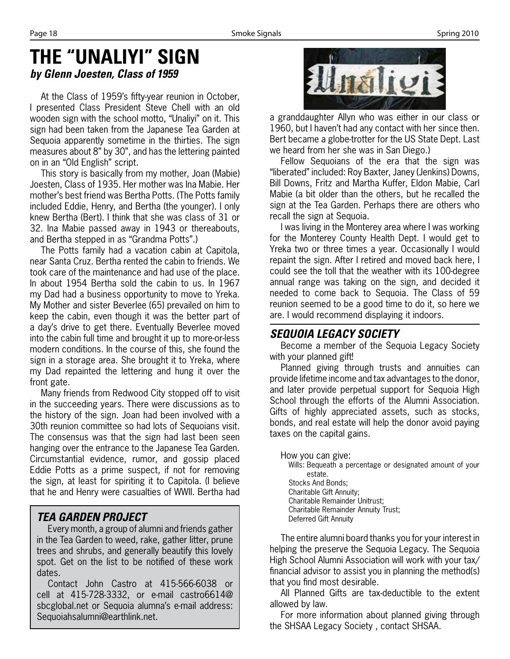### **THE "UNALIYI" SIGN** *by Glenn Joesten, Class of 1959*

At the Class of 1959's fifty-year reunion in October, I presented Class President Steve Chell with an old wooden sign with the school motto, "Unaliyi" on it. This sign had been taken from the Japanese Tea Garden at Sequoia apparently sometime in the thirties. The sign measures about 8" by 30", and has the lettering painted on in an "Old English" script.

This story is basically from my mother, Joan (Mabie) Joesten, Class of 1935. Her mother was Ina Mabie. Her mother's best friend was Bertha Potts. (The Potts family included Eddie, Henry, and Bertha (the younger). I only knew Bertha (Bert). I think that she was class of 31 or 32. Ina Mabie passed away in 1943 or thereabouts, and Bertha stepped in as "Grandma Potts".)

The Potts family had a vacation cabin at Capitola, near Santa Cruz. Bertha rented the cabin to friends. We took care of the maintenance and had use of the place. In about 1954 Bertha sold the cabin to us. In 1967 my Dad had a business opportunity to move to Yreka. My Mother and sister Beverlee (65) prevailed on him to keep the cabin, even though it was the better part of a day's drive to get there. Eventually Beverlee moved into the cabin full time and brought it up to more-or-less modern conditions. In the course of this, she found the sign in a storage area. She brought it to Yreka, where my Dad repainted the lettering and hung it over the front gate.

Many friends from Redwood City stopped off to visit in the succeeding years. There were discussions as to the history of the sign. Joan had been involved with a 30th reunion committee so had lots of Sequoians visit. The consensus was that the sign had last been seen hanging over the entrance to the Japanese Tea Garden. Circumstantial evidence, rumor, and gossip placed Eddie Potts as a prime suspect, if not for removing the sign, at least for spiriting it to Capitola. (I believe that he and Henry were casualties of WWII. Bertha had

### *TEA GARDEN PROJECT*

Every month, a group of alumni and friends gather in the Tea Garden to weed, rake, gather litter, prune trees and shrubs, and generally beautify this lovely spot. Get on the list to be notified of these work dates.

Contact John Castro at 415-566-6038 or cell at 415-728-3332, or e-mail castro6614@ sbcglobal.net or Sequoia alumna's e-mail address: Sequoiahsalumni@earthlink.net.



a granddaughter Allyn who was either in our class or 1960, but I haven't had any contact with her since then. Bert became a globe-trotter for the US State Dept. Last we heard from her she was in San Diego.)

Fellow Sequoians of the era that the sign was "liberated" included: Roy Baxter, Janey (Jenkins) Downs, Bill Downs, Fritz and Martha Kuffer, Eldon Mabie, Carl Mabie (a bit older than the others, but he recalled the sign at the Tea Garden. Perhaps there are others who recall the sign at Sequoia.

I was living in the Monterey area where I was working for the Monterey County Health Dept. I would get to Yreka two or three times a year. Occasionally I would repaint the sign. After I retired and moved back here, I could see the toll that the weather with its 100-degree annual range was taking on the sign, and decided it needed to come back to Sequoia. The Class of 59 reunion seemed to be a good time to do it, so here we are. I would recommend displaying it indoors.

### *SEQUOIA LEGACY SOCIETY*

Become a member of the Sequoia Legacy Society with your planned gift!

Planned giving through trusts and annuities can provide lifetime income and tax advantages to the donor, and later provide perpetual support for Sequoia High School through the efforts of the Alumni Association. Gifts of highly appreciated assets, such as stocks, bonds, and real estate will help the donor avoid paying taxes on the capital gains.

How you can give: Wills: Bequeath a percentage or designated amount of your estate. Stocks And Bonds; Charitable Gift Annuity; Charitable Remainder Unitrust; Charitable Remainder Annuity Trust; Deferred Gift Annuity

The entire alumni board thanks you for your interest in helping the preserve the Sequoia Legacy. The Sequoia High School Alumni Association will work with your tax/ financial advisor to assist you in planning the method(s) that you find most desirable.

All Planned Gifts are tax-deductible to the extent allowed by law.

For more information about planned giving through the SHSAA Legacy Society , contact SHSAA.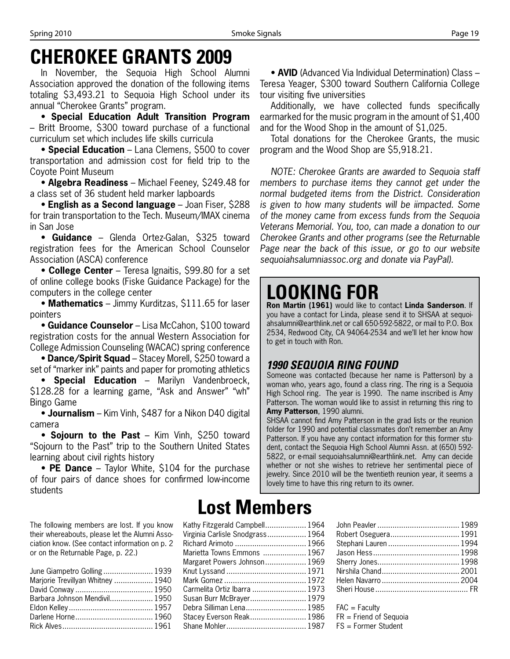## **CHEROKEE GRANTS 2009**

In November, the Sequoia High School Alumni Association approved the donation of the following items totaling \$3,493.21 to Sequoia High School under its annual "Cherokee Grants" program.

• **Special Education Adult Transition Program** – Britt Broome, \$300 toward purchase of a functional curriculum set which includes life skills curricula

• **Special Education** – Lana Clemens, \$500 to cover transportation and admission cost for field trip to the Coyote Point Museum

• **Algebra Readiness** – Michael Feeney, \$249.48 for a class set of 36 student held marker lapboards

• **English as a Second language** – Joan Fiser, \$288 for train transportation to the Tech. Museum/IMAX cinema in San Jose

• **Guidance** – Glenda Ortez-Galan, \$325 toward registration fees for the American School Counselor Association (ASCA) conference

• **College Center** – Teresa Ignaitis, \$99.80 for a set of online college books (Fiske Guidance Package) for the computers in the college center

• **Mathematics** – Jimmy Kurditzas, \$111.65 for laser pointers

• **Guidance Counselor** – Lisa McCahon, \$100 toward registration costs for the annual Western Association for College Admission Counseling (WACAC) spring conference

• **Dance/Spirit Squad** – Stacey Morell, \$250 toward a set of "marker ink" paints and paper for promoting athletics

• **Special Education** – Marilyn Vandenbroeck, \$128.28 for a learning game, "Ask and Answer" "wh" Bingo Game

• **Journalism** – Kim Vinh, \$487 for a Nikon D40 digital camera

• **Sojourn to the Past** – Kim Vinh, \$250 toward "Sojourn to the Past" trip to the Southern United States learning about civil rights history

• **PE Dance** – Taylor White, \$104 for the purchase of four pairs of dance shoes for confirmed low-income students

The following members are lost. If you know their whereabouts, please let the Alumni Association know. (See contact information on p. 2 or on the Returnable Page, p. 22.)

| June Giampetro Golling  1939      |  |
|-----------------------------------|--|
| Marjorie Trevillyan Whitney  1940 |  |
|                                   |  |
| Barbara Johnson Mendivil 1950     |  |
|                                   |  |
|                                   |  |
|                                   |  |

## **Lost Members**

| Kathy Fitzgerald Campbell 1964<br>Virginia Carlisle Snodgrass 1964<br>Richard Arimoto  1966<br>Marietta Towns Emmons  1967<br>Margaret Powers Johnson 1969<br>Carmelita Ortiz Ibarra  1973<br>Susan Burr McBrayer 1979<br>Debra Silliman Lena 1985<br>Stacey Everson Reak 1986 |  |
|--------------------------------------------------------------------------------------------------------------------------------------------------------------------------------------------------------------------------------------------------------------------------------|--|
|--------------------------------------------------------------------------------------------------------------------------------------------------------------------------------------------------------------------------------------------------------------------------------|--|

• **AVID** (Advanced Via Individual Determination) Class – Teresa Yeager, \$300 toward Southern California College tour visiting five universities

Additionally, we have collected funds specifically earmarked for the music program in the amount of \$1,400 and for the Wood Shop in the amount of \$1,025.

Total donations for the Cherokee Grants, the music program and the Wood Shop are \$5,918.21.

*NOTE: Cherokee Grants are awarded to Sequoia staff members to purchase items they cannot get under the normal budgeted items from the District. Consideration is given to how many students will be iimpacted. Some of the money came from excess funds from the Sequoia Veterans Memorial. You, too, can made a donation to our Cherokee Grants and other programs (see the Returnable Page near the back of this issue, or go to our website sequoiahsalumniassoc.org and donate via PayPal).*

# **LOOKING FOR**

**Ron Martin (1961)** would like to contact **Linda Sanderson**. If you have a contact for Linda, please send it to SHSAA at sequoiahsalumni@earthlink.net or call 650-592-5822, or mail to P.O. Box 2534, Redwood City, CA 94064-2534 and we'll let her know how to get in touch with Ron.

#### *1990 SEQUOIA RING FOUND*

Someone was contacted (because her name is Patterson) by a woman who, years ago, found a class ring. The ring is a Sequoia High School ring. The year is 1990. The name inscribed is Amy Patterson. The woman would like to assist in returning this ring to **Amy Patterson**, 1990 alumni.

SHSAA cannot find Amy Patterson in the grad lists or the reunion folder for 1990 and potential classmates don't remember an Amy Patterson. If you have any contact information for this former student, contact the Sequoia High School Alumni Assn. at (650) 592- 5822, or e-mail sequoiahsalumni@earthlink.net. Amy can decide whether or not she wishes to retrieve her sentimental piece of jewelry. Since 2010 will be the twentieth reunion year, it seems a lovely time to have this ring return to its owner.

| Robert Oseguera 1991  |  |
|-----------------------|--|
| Stephani Lauren  1994 |  |
|                       |  |
|                       |  |
|                       |  |
|                       |  |
|                       |  |
|                       |  |

 $FAC = Facultv$ FR = Friend of Sequoia FS = Former Student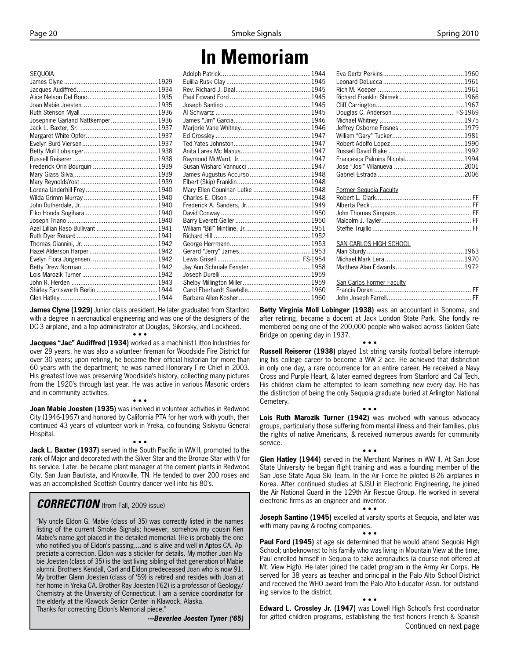## **In Memoriam**

| <b>SEOUOIA</b>                   |                                |  |
|----------------------------------|--------------------------------|--|
|                                  |                                |  |
|                                  |                                |  |
|                                  |                                |  |
|                                  |                                |  |
|                                  |                                |  |
| Josephine Garland Nattkemper1936 |                                |  |
|                                  |                                |  |
|                                  |                                |  |
|                                  |                                |  |
|                                  |                                |  |
|                                  |                                |  |
|                                  |                                |  |
|                                  |                                |  |
|                                  |                                |  |
|                                  | Mary Ellen Counihan Lutke 1948 |  |
|                                  |                                |  |
|                                  |                                |  |
|                                  |                                |  |
|                                  |                                |  |
|                                  |                                |  |
|                                  |                                |  |
|                                  |                                |  |
|                                  |                                |  |
|                                  |                                |  |
|                                  |                                |  |
|                                  |                                |  |
|                                  |                                |  |
|                                  |                                |  |
|                                  |                                |  |

**James Clyne (1929)** Junior class president. He later graduated from Stanford with a degree in aeronautical engineering and was one of the designers of the DC-3 airplane, and a top administrator at Douglas, Sikorsky, and Lockheed. • • •

**Jacques "Jac" Audiffred (1934)** worked as a machinist Litton Industries for over 29 years. he was also a volunteer fireman for Woodside Fire District for over 30 years; upon retiring, he became their official historian for more than 60 years with the department; he was named Honorary Fire Chief in 2003. His greatest love was preserving Woodside's history, collecting many pictures from the 1920's through last year. He was active in various Masonic orders and in community activities.

**Joan Mabie Joesten (1935)** was involved in volunteer activities in Redwood City (1946-1967) and honored by California PTA for her work with youth, then continued 43 years of volunteer work in Yreka, co-founding Siskiyou General Hospital.

• • •

• • • **Jack L. Baxter (1937)** served in the South Pacific in WW II, promoted to the rank of Major and decorated with the Silver Star and the Bronze Star with V for hs service. Later, he became plant manager at the cement plants in Redwood City, San Juan Bautista, and Knoxville, TN. He tended to over 200 roses and was an accomplished Scottish Country dancer well into his 80's.

#### *CORRECTION* (from Fall, 2009 issue)

"My uncle Eldon G. Mabie (class of 35) was correctly listed in the names listing of the current Smoke Signals; however, somehow my cousin Ken Mabie's name got placed in the detailed memorial. (He is probably the one who notified you of Eldon's passing....and is alive and well in Aptos CA. Appreciate a correction. Eldon was a stickler for details. My mother Joan Mabie Joesten (class of 35) is the last living sibling of that generation of Mabie alumni. Brothers Kendall, Carl and Eldon predeceased Joan who is now 91. My brother Glenn Joesten (class of '59) is retired and resides with Joan at her home in Yreka CA. Brother Ray Joesten ('62) is a professor of Geology/ Chemistry at the University of Connecticut. I am a service coordinator for the elderly at the Klawock Senior Center in Klawock, Alaska. Thanks for correcting Eldon's Memorial piece."

*---Beverlee Joesten Tyner ('65)*

| Francesca Palmina Nicolsi1994 |  |
|-------------------------------|--|
|                               |  |
|                               |  |
|                               |  |

| Former Sequoia Faculty    |  |
|---------------------------|--|
| SAN CARLOS HIGH SCHOOL    |  |
| San Carlos Former Faculty |  |

John Joseph Farrell............................................... FF

**Betty Virginia Moll Lobinger (1938)** was an accountant in Sonoma, and after retiring, became a docent at Jack London State Park. She fondly remembered being one of the 200,000 people who walked across Golden Gate Bridge on opening day in 1937.

• • • **Russell Reiserer (1938)** played 1st string varsity football before interrupting his college career to become a WW 2 ace. He achieved that distinction in only one day, a rare occurrence for an entire career. He received a Navy Cross and Purple Heart, & later earned degrees from Stanford and Cal Tech. His children claim he attempted to learn something new every day. He has the distinction of being the only Sequoia graduate buried at Arlington National Cemetery.

Lois Ruth Marozik Turner (1942) was involved with various advocacy groups, particularly those suffering from mental illness and their families, plus the rights of native Americans, & received numerous awards for community service.

• • •

• • •

**Glen Hatley (1944)** served in the Merchant Marines in WW II. At San Jose State University he began flight training and was a founding member of the San Jose State Aqua Ski Team. In the Air Force he piloted B-26 airplanes in Korea. After continued studies at SJSU in Electronic Engineering, he joined the Air National Guard in the 129th Air Rescue Group. He worked in several electronic firms as an engineer and inventor.

• • •

**Joseph Santino (1945)** excelled at varsity sports at Sequoia, and later was with many paving & roofing companies.

• • •

**Paul Ford (1945)** at age six determined that he would attend Sequoia High School; unbeknownst to his family who was living in Mountain View at the time, Paul enrolled himself in Sequoia to take aeronautics (a course not offered at Mt. View High). He later joined the cadet program in the Army Air Corps. He served for 38 years as teacher and principal in the Palo Alto School District and received the WHO award from the Palo Alto Educator Assn. for outstanding service to the district.

• • • **Edward L. Crossley Jr. (1947)** was Lowell High School's first coordinator for gifted children programs, establishing the first honors French & Spanish Continued on next page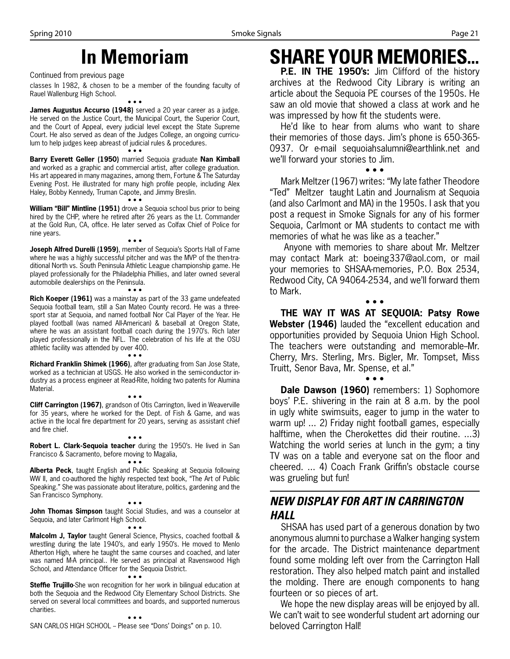# **In Memoriam**

Continued from previous page

classes In 1982, & chosen to be a member of the founding faculty of Rauel Wallenburg High School.

• • • **James Augustus Accurso (1948)** served a 20 year career as a judge. He served on the Justice Court, the Municipal Court, the Superior Court, and the Court of Appeal, every judicial level except the State Supreme Court. He also served as dean of the Judges College, an ongoing curriculum to help judges keep abreast of judicial rules & procedures. • • •

**Barry Everett Geller (1950)** married Sequoia graduate **Nan Kimball** and worked as a graphic and commercial artist, after college graduation. His art appeared in many magazines, among them, Fortune & The Saturday Evening Post. He illustrated for many high profile people, including Alex Haley, Bobby Kennedy, Truman Capote, and Jimmy Breslin. • • •

**William "Bill" Mintline (1951)** drove a Sequoia school bus prior to being hired by the CHP, where he retired after 26 years as the Lt. Commander at the Gold Run, CA, office. He later served as Colfax Chief of Police for nine years.

• • • **Joseph Alfred Durelli (1959)**, member of Sequoia's Sports Hall of Fame where he was a highly successful pitcher and was the MVP of the then-traditional North vs. South Peninsula Athletic League championship game. He played professionally for the Philadelphia Phillies, and later owned several automobile dealerships on the Peninsula.

• • •

**Rich Koeper (1961)** was a mainstay as part of the 33 game undefeated Sequoia football team, still a San Mateo County record. He was a threesport star at Sequoia, and named football Nor Cal Player of the Year. He played football (was named All-American) & baseball at Oregon State, where he was an assistant football coach during the 1970's. Rich later played professionally in the NFL. The celebration of his life at the OSU athletic facility was attended by over 400.

• • • **Richard Franklin Shimek (1966)**, after graduating from San Jose State, worked as a technician at USGS. He also worked in the semi-conductor industry as a process engineer at Read-Rite, holding two patents for Alumina Material.

**Cliff Carrington (1967)**, grandson of Otis Carrington, lived in Weaverville for 35 years, where he worked for the Dept. of Fish & Game, and was active in the local fire department for 20 years, serving as assistant chief and fire chief.

• • •

• • • **Robert L. Clark-Sequoia teacher** during the 1950's. He lived in San Francisco & Sacramento, before moving to Magalia,

• • • **Alberta Peck**, taught English and Public Speaking at Sequoia following WW II, and co-authored the highly respected text book, "The Art of Public Speaking." She was passionate about literature, politics, gardening and the San Francisco Symphony.

• • • **John Thomas Simpson** taught Social Studies, and was a counselor at Sequoia, and later Carlmont High School. • • •

**Malcolm J, Taylor** taught General Science, Physics, coached football & wrestling during the late 1940's, and early 1950's. He moved to Menlo Atherton High, where he taught the same courses and coached, and later was named M-A principal.. He served as principal at Ravenswood High School, and Attendance Officer for the Sequoia District.

• • •

**Steffie Trujillo**-She won recognition for her work in bilingual education at both the Sequoia and the Redwood City Elementary School Districts. She served on several local committees and boards, and supported numerous charities.

SAN CARLOS HIGH SCHOOL - Please see "Dons' Doings" on p. 10.

## **SHARE YOUR MEMORIES...**

**P.E. IN THE 1950's:** Jim Clifford of the history archives at the Redwood City Library is writing an article about the Sequoia PE courses of the 1950s. He saw an old movie that showed a class at work and he was impressed by how fit the students were.

He'd like to hear from alums who want to share their memories of those days. Jim's phone is 650-365- 0937. Or e-mail sequoiahsalumni@earthlink.net and we'll forward your stories to Jim.

• • •

Mark Meltzer (1967) writes: "My late father Theodore "Ted" Meltzer taught Latin and Journalism at Sequoia (and also Carlmont and MA) in the 1950s. I ask that you post a request in Smoke Signals for any of his former Sequoia, Carlmont or MA students to contact me with memories of what he was like as a teacher."

 Anyone with memories to share about Mr. Meltzer may contact Mark at: boeing337@aol.com, or mail your memories to SHSAA-memories, P.O. Box 2534, Redwood City, CA 94064-2534, and we'll forward them to Mark.

• • • **THE WAY IT WAS AT SEQUOIA: Patsy Rowe Webster (1946)** lauded the "excellent education and opportunities provided by Sequoia Union High School. The teachers were outstanding and memorable-Mr. Cherry, Mrs. Sterling, Mrs. Bigler, Mr. Tompset, Miss Truitt, Senor Bava, Mr. Spense, et al."

• • • **Dale Dawson (1960)** remembers: 1) Sophomore boys' P.E. shivering in the rain at 8 a.m. by the pool in ugly white swimsuits, eager to jump in the water to warm up! ... 2) Friday night football games, especially halftime, when the Cherokettes did their routine. ...3) Watching the world series at lunch in the gym; a tiny TV was on a table and everyone sat on the floor and cheered. ... 4) Coach Frank Griffin's obstacle course was grueling but fun!

### *NEW DISPLAY FOR ART IN CARRINGTON HALL*

SHSAA has used part of a generous donation by two anonymous alumni to purchase a Walker hanging system for the arcade. The District maintenance department found some molding left over from the Carrington Hall restoration. They also helped match paint and installed the molding. There are enough components to hang fourteen or so pieces of art.

We hope the new display areas will be enjoyed by all. We can't wait to see wonderful student art adorning our beloved Carrington Hall!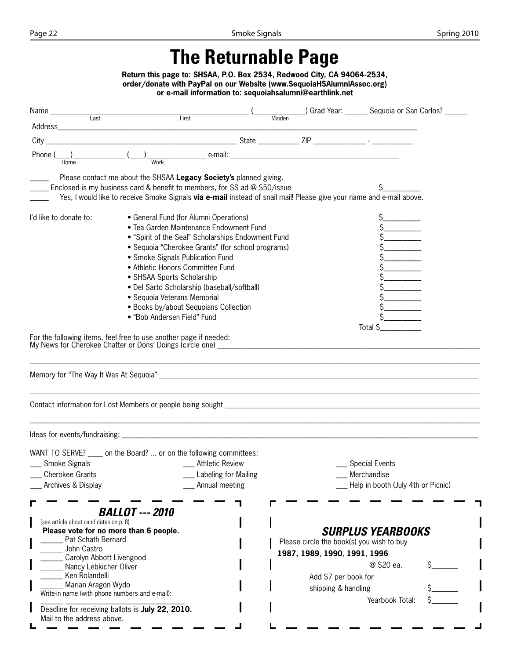# **The Returnable Page**

**Return this page to: SHSAA, P.O. Box 2534, Redwood City, CA 94064-2534, order/donate with PayPal on our Website (www.SequoiaHSAlumniAssoc.org) or e-mail information to: sequoiahsalumni@earthlink.net**

| $City$ __                                                            |                                                                                                                      |                                           |
|----------------------------------------------------------------------|----------------------------------------------------------------------------------------------------------------------|-------------------------------------------|
| Phone (                                                              |                                                                                                                      |                                           |
| Home                                                                 | Work                                                                                                                 |                                           |
|                                                                      | Please contact me about the SHSAA Legacy Society's planned giving.                                                   |                                           |
|                                                                      | Enclosed is my business card & benefit to members, for SS ad @ \$50/issue                                            |                                           |
|                                                                      | Yes, I would like to receive Smoke Signals via e-mail instead of snail mail! Please give your name and e-mail above. |                                           |
| I'd like to donate to:                                               | • General Fund (for Alumni Operations)                                                                               |                                           |
|                                                                      | • Tea Garden Maintenance Endowment Fund                                                                              |                                           |
|                                                                      | • "Spirit of the Seal" Scholarships Endowment Fund                                                                   |                                           |
|                                                                      | • Sequoia "Cherokee Grants" (for school programs)                                                                    |                                           |
|                                                                      | • Smoke Signals Publication Fund                                                                                     |                                           |
|                                                                      | • Athletic Honors Committee Fund                                                                                     |                                           |
|                                                                      | • SHSAA Sports Scholarship                                                                                           |                                           |
|                                                                      | • Del Sarto Scholarship (baseball/softball)                                                                          |                                           |
|                                                                      | • Sequoia Veterans Memorial                                                                                          |                                           |
|                                                                      | • Books by/about Sequoians Collection<br>• "Bob Andersen Field" Fund                                                 |                                           |
|                                                                      |                                                                                                                      |                                           |
|                                                                      |                                                                                                                      |                                           |
|                                                                      |                                                                                                                      | Total \$                                  |
|                                                                      |                                                                                                                      |                                           |
|                                                                      |                                                                                                                      |                                           |
|                                                                      |                                                                                                                      |                                           |
|                                                                      | WANT TO SERVE? _____ on the Board?  or on the following committees:                                                  |                                           |
| __ Smoke Signals                                                     | __ Athletic Review                                                                                                   | <b>Special Events</b>                     |
| Cherokee Grants                                                      | Labeling for Mailing                                                                                                 | Merchandise                               |
| Archives & Display                                                   | Annual meeting                                                                                                       | Help in booth (July 4th or Picnic)        |
|                                                                      |                                                                                                                      |                                           |
|                                                                      | <b>BALLOT --- 2010</b>                                                                                               |                                           |
| (see article about candidates on p. 8)                               |                                                                                                                      |                                           |
|                                                                      | Please vote for no more than 6 people.                                                                               | <b>SURPLUS YEARBOOKS</b>                  |
| Pat Schath Bernard<br>John Castro                                    |                                                                                                                      | Please circle the book(s) you wish to buy |
| Carolyn Abbott Livengood                                             |                                                                                                                      | 1987, 1989, 1990, 1991, 1996              |
| Nancy Lebkicher Oliver                                               |                                                                                                                      | @ \$20 ea.                                |
| Ken Rolandelli                                                       |                                                                                                                      | Add \$7 per book for                      |
| Marian Aragon Wydo<br>Write-in name (with phone numbers and e-mail): |                                                                                                                      | shipping & handling<br>Yearbook Total:    |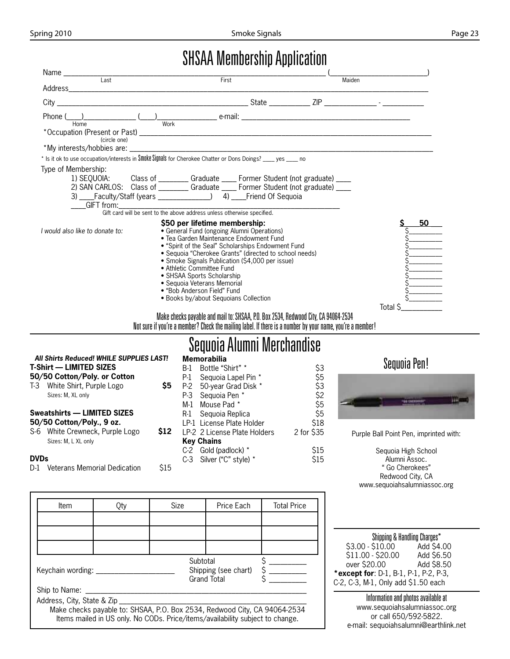## SHSAA Membership Application

| $\overline{Last}$               | First                                                                                                                                                                                                                                                                                                                                                                                                                                                       |        |                |
|---------------------------------|-------------------------------------------------------------------------------------------------------------------------------------------------------------------------------------------------------------------------------------------------------------------------------------------------------------------------------------------------------------------------------------------------------------------------------------------------------------|--------|----------------|
|                                 |                                                                                                                                                                                                                                                                                                                                                                                                                                                             | Maiden |                |
| $City$ $\_$                     |                                                                                                                                                                                                                                                                                                                                                                                                                                                             |        |                |
| Phone (<br>Home                 | $\overbrace{\hspace{2.5cm}}^{\text{(}}$ $\overbrace{\hspace{2.5cm}}^{\text{(}}$ $\overbrace{\hspace{2.5cm}}^{\text{(}}$ $\overbrace{\hspace{2.5cm}}^{\text{(}}$ $\overbrace{\hspace{2.5cm}}^{\text{(}}$ $\overbrace{\hspace{2.5cm}}^{\text{(}}$ $\overbrace{\hspace{2.5cm}}^{\text{(}}$ $\overbrace{\hspace{2.5cm}}^{\text{(}}$ $\overbrace{\hspace{2.5cm}}^{\text{(}}$ $\overbrace{\hspace{2.5cm}}^{\text{(}}$ $\overbrace{\hspace{2.5cm}}^{\text{(}}$     |        |                |
| (circle one)                    |                                                                                                                                                                                                                                                                                                                                                                                                                                                             |        |                |
|                                 |                                                                                                                                                                                                                                                                                                                                                                                                                                                             |        |                |
|                                 | * Is it ok to use occupation/interests in Smoke Signals for Cherokee Chatter or Dons Doings? ____ yes ____ no                                                                                                                                                                                                                                                                                                                                               |        |                |
| Type of Membership:             |                                                                                                                                                                                                                                                                                                                                                                                                                                                             |        |                |
|                                 | 1) SEQUOIA: Class of ________ Graduate ____ Former Student (not graduate) ____                                                                                                                                                                                                                                                                                                                                                                              |        |                |
|                                 | 2) SAN CARLOS: Class of ________ Graduate ____ Former Student (not graduate) ___                                                                                                                                                                                                                                                                                                                                                                            |        |                |
|                                 |                                                                                                                                                                                                                                                                                                                                                                                                                                                             |        |                |
|                                 | GIFT from: Gift card will be sent to the above address unless otherwise specified.                                                                                                                                                                                                                                                                                                                                                                          |        |                |
|                                 |                                                                                                                                                                                                                                                                                                                                                                                                                                                             |        |                |
| I would also like to donate to: | \$50 per lifetime membership:<br>• General Fund (ongoing Alumni Operations)<br>• Tea Garden Maintenance Endowment Fund<br>• "Spirit of the Seal" Scholarships Endowment Fund<br>• Sequoia "Cherokee Grants" (directed to school needs)<br>• Smoke Signals Publication (\$4,000 per issue)<br>• Athletic Committee Fund<br>• SHSAA Sports Scholarship<br>• Seguoia Veterans Memorial<br>• "Bob Anderson Field" Fund<br>• Books by/about Sequoians Collection |        | 50<br>Total \$ |
|                                 | Make checks payable and mail to: SHSAA, P.O. Box 2534, Redwood City, CA 94064-2534<br>Not sure if you're a member? Check the mailing label. If there is a number by your name, you're a member!                                                                                                                                                                                                                                                             |        |                |

## Sequoia Alumni Merchandise

|             | All Shirts Reduced! WHILE SUPPLIES LAST! |       |       | <b>Memorabilia</b>           |            |
|-------------|------------------------------------------|-------|-------|------------------------------|------------|
|             | <b>T-Shirt — LIMITED SIZES</b>           |       | B-1   | Bottle "Shirt" *             | \$3        |
|             | 50/50 Cotton/Poly. or Cotton             |       | P-1   | Sequoia Lapel Pin *          | \$5        |
| $T-3$       | White Shirt, Purple Logo                 | \$5   | P-2   | 50-year Grad Disk *          | \$3        |
|             | Sizes: M, XL only                        |       | $P-3$ | Sequoia Pen *                | \$2        |
|             |                                          |       | M-1   | Mouse Pad *                  | \$5        |
|             | <b>Sweatshirts - LIMITED SIZES</b>       |       |       | R-1 Sequoia Replica          | \$5        |
|             | 50/50 Cotton/Poly., 9 oz.                |       |       | LP-1 License Plate Holder    | \$18       |
|             | S-6 White Crewneck, Purple Logo          | S12 . |       | LP-2 2 License Plate Holders | 2 for \$35 |
|             | Sizes: M. L XL only                      |       |       | <b>Key Chains</b>            |            |
|             |                                          |       |       | $C-2$ Gold (padlock) $*$     | \$15       |
| <b>DVDs</b> |                                          |       |       | C-3 Silver ("C" style) *     | \$15       |
| D-1         | Veterans Memorial Dedication             | S15   |       |                              |            |

### Sequoia Pen!



Purple Ball Point Pen, imprinted with:

Sequoia High School Alumni Assoc. " Go Cherokees" Redwood City, CA www.sequoiahsalumniassoc.org

| Item                       | Qty | Size                                                                                                                                                       | Price Each                          | <b>Total Price</b> |
|----------------------------|-----|------------------------------------------------------------------------------------------------------------------------------------------------------------|-------------------------------------|--------------------|
|                            |     |                                                                                                                                                            |                                     |                    |
|                            |     |                                                                                                                                                            |                                     |                    |
|                            |     |                                                                                                                                                            |                                     |                    |
| Keychain wording:          |     | Subtotal                                                                                                                                                   | Shipping (see chart)<br>Grand Total |                    |
| Ship to Name:              |     |                                                                                                                                                            |                                     |                    |
| Address, City, State & Zip |     | Make checks payable to: SHSAA, P.O. Box 2534, Redwood City, CA 94064-2534<br>Items mailed in US only. No CODs. Price/items/availability subject to change. |                                     |                    |

| Shipping & Handling Charges*          |            |  |
|---------------------------------------|------------|--|
| \$3.00 - \$10.00                      | Add \$4.00 |  |
| \$11.00 - \$20.00                     | Add \$6.50 |  |
| over \$20.00                          | Add \$8.50 |  |
| *except for: D-1, B-1, P-1, P-2, P-3, |            |  |
| C-2, C-3, M-1, Only add \$1.50 each   |            |  |

Information and photos available at www.sequoiahsalumniassoc.org or call 650/592-5822. e-mail: sequoiahsalumni@earthlink.net